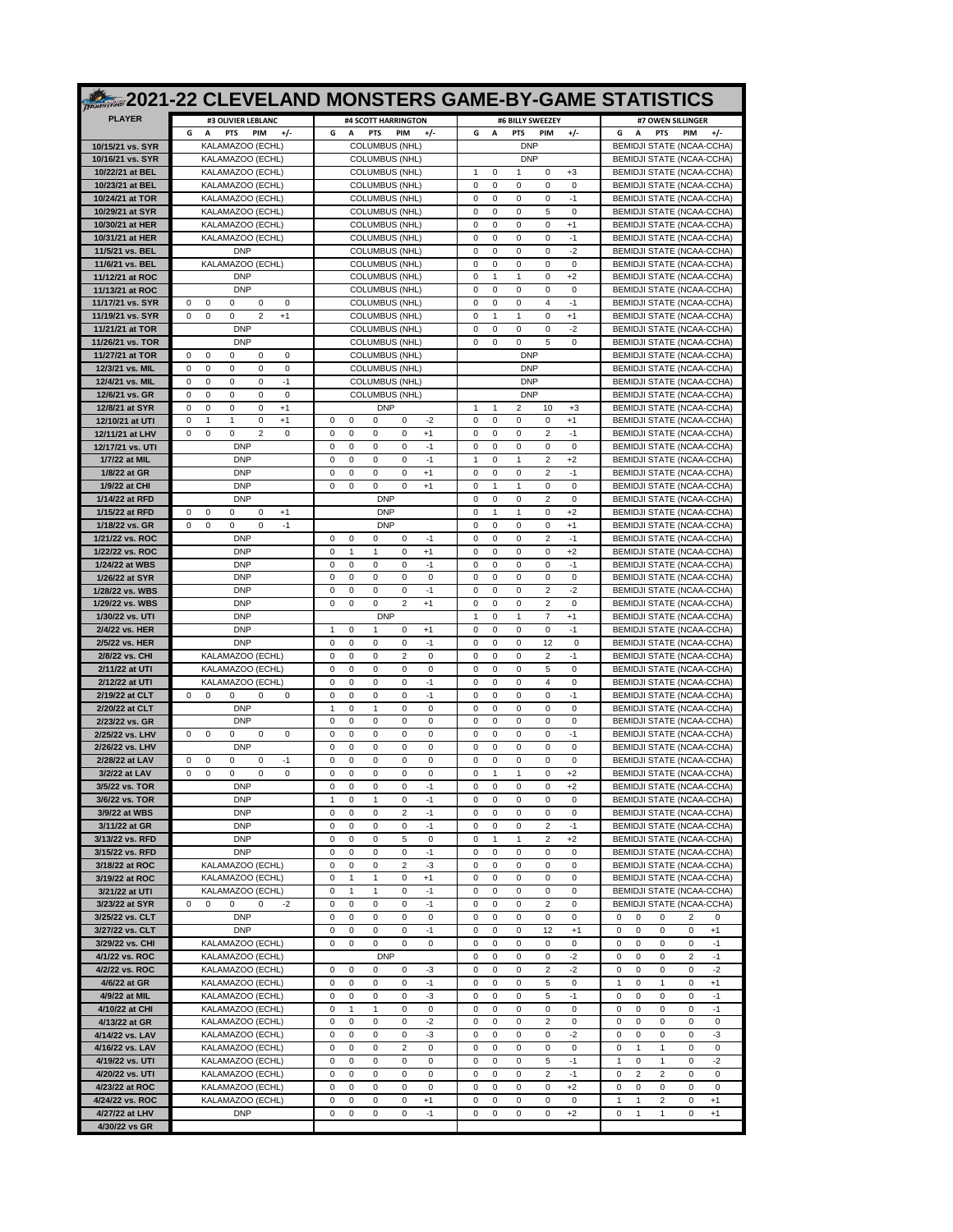|                                     | 2021-22 CLEVELAND MONSTERS GAME-BY-GAME STATISTICS                                                                  |                                                                                                            |                                                                                               |                                                                           |
|-------------------------------------|---------------------------------------------------------------------------------------------------------------------|------------------------------------------------------------------------------------------------------------|-----------------------------------------------------------------------------------------------|---------------------------------------------------------------------------|
| <b>PLAYER</b>                       | #3 OLIVIER LEBLANC                                                                                                  | #4 SCOTT HARRINGTON                                                                                        | #6 BILLY SWEEZEY                                                                              | #7 OWEN SILLINGER                                                         |
| 10/15/21 vs. SYR                    | G<br>$+/-$<br>A<br><b>PTS</b><br>PIM<br>KALAMAZOO (ECHL)                                                            | G<br>A<br><b>PTS</b><br>$+1-$<br><b>PIM</b><br><b>COLUMBUS (NHL)</b>                                       | $+/-$<br>G<br>A<br><b>PTS</b><br>PIM<br><b>DNP</b>                                            | $+/-$<br>A<br><b>PTS</b><br>PIM<br>G<br>BEMIDJI STATE (NCAA-CCHA)         |
| 10/16/21 vs. SYR                    | KALAMAZOO (ECHL)                                                                                                    | <b>COLUMBUS (NHL)</b>                                                                                      | <b>DNP</b>                                                                                    | BEMIDJI STATE (NCAA-CCHA)                                                 |
| 10/22/21 at BEL                     | KALAMAZOO (ECHL)                                                                                                    | <b>COLUMBUS (NHL)</b>                                                                                      | $\mathbf{1}$<br>$\Omega$<br>$\mathbf{1}$<br>$\Omega$<br>$+3$                                  | BEMIDJI STATE (NCAA-CCHA)                                                 |
| 10/23/21 at BEL<br>10/24/21 at TOR  | KALAMAZOO (ECHL)<br>KALAMAZOO (ECHL)                                                                                | <b>COLUMBUS (NHL)</b><br>COLUMBUS (NHL)                                                                    | 0<br>$\mathbf 0$<br>0<br>0<br>0<br>0<br>$\mathbf 0$<br>0<br>$\mathbf 0$<br>$-1$               | BEMIDJI STATE (NCAA-CCHA)<br><b>BEMIDJI STATE (NCAA-CCHA)</b>             |
| 10/29/21 at SYR                     | KALAMAZOO (ECHL)                                                                                                    | <b>COLUMBUS (NHL)</b>                                                                                      | 5<br>$\Omega$<br>0<br>0<br>0                                                                  | BEMIDJI STATE (NCAA-CCHA)                                                 |
| 10/30/21 at HER<br>10/31/21 at HER  | KALAMAZOO (ECHL)<br>KALAMAZOO (ECHL)                                                                                | <b>COLUMBUS (NHL)</b><br><b>COLUMBUS (NHL)</b>                                                             | 0<br>$\mathbf 0$<br>0<br>$\mathbf 0$<br>$+1$<br>0<br>0<br>$\Omega$<br>$\Omega$<br>$-1$        | BEMIDJI STATE (NCAA-CCHA)<br>BEMIDJI STATE (NCAA-CCHA)                    |
| 11/5/21 vs. BEL                     | <b>DNP</b>                                                                                                          | <b>COLUMBUS (NHL)</b>                                                                                      | $\mathbf 0$<br>$-2$<br>0<br>$\mathbf 0$<br>0                                                  | BEMIDJI STATE (NCAA-CCHA)                                                 |
| 11/6/21 vs. BEL                     | KALAMAZOO (ECHL)                                                                                                    | COLUMBUS (NHL)                                                                                             | 0<br>$\mathbf 0$<br>0<br>$\mathbf 0$<br>0                                                     | BEMIDJI STATE (NCAA-CCHA)                                                 |
| 11/12/21 at ROC<br>11/13/21 at ROC  | <b>DNP</b><br><b>DNP</b>                                                                                            | <b>COLUMBUS (NHL)</b><br><b>COLUMBUS (NHL)</b>                                                             | 0<br>1<br>1<br>0<br>$+2$<br>0<br>$\mathbf 0$<br>$\mathbf 0$<br>0<br>$\Omega$                  | BEMIDJI STATE (NCAA-CCHA)<br>BEMIDJI STATE (NCAA-CCHA)                    |
| 11/17/21 vs. SYR                    | $\Omega$<br>$\Omega$<br>$\Omega$<br>$\Omega$<br>0                                                                   | <b>COLUMBUS (NHL)</b>                                                                                      | $\overline{4}$<br>$\Omega$<br>$\Omega$<br>$\Omega$<br>$-1$                                    | BEMIDJI STATE (NCAA-CCHA)                                                 |
| 11/19/21 vs. SYR<br>11/21/21 at TOR | $\mathbf 0$<br>0<br>0<br>$\overline{2}$<br>$+1$<br><b>DNP</b>                                                       | <b>COLUMBUS (NHL)</b><br><b>COLUMBUS (NHL)</b>                                                             | 0<br>$\mathbf{1}$<br>$\mathbf{1}$<br>0<br>$+1$<br>0<br>$\mathbf 0$<br>0<br>0<br>$-2$          | BEMIDJI STATE (NCAA-CCHA)<br><b>BEMIDJI STATE (NCAA-CCHA)</b>             |
| 11/26/21 vs. TOR                    | <b>DNP</b>                                                                                                          | <b>COLUMBUS (NHL)</b>                                                                                      | 0<br>5<br>$\Omega$<br>0<br>$\Omega$                                                           | BEMIDJI STATE (NCAA-CCHA)                                                 |
| 11/27/21 at TOR<br>12/3/21 vs. MIL  | $\mathbf 0$<br>0<br>$\Omega$<br>$\Omega$<br>$\Omega$<br>$\mathbf 0$<br>$\Omega$<br>$\Omega$<br>$\Omega$<br>$\Omega$ | <b>COLUMBUS (NHL)</b><br><b>COLUMBUS (NHL)</b>                                                             | <b>DNP</b><br><b>DNP</b>                                                                      | BEMIDJI STATE (NCAA-CCHA)<br>BEMIDJI STATE (NCAA-CCHA)                    |
| 12/4/21 vs. MIL                     | $\mathbf 0$<br>$\mathbf 0$<br>0<br>$-1$<br>$\Omega$                                                                 | COLUMBUS (NHL)                                                                                             | <b>DNP</b>                                                                                    | BEMIDJI STATE (NCAA-CCHA)                                                 |
| 12/6/21 vs. GR                      | $\mathbf 0$<br>$\mathbf 0$<br>0<br>$\mathbf 0$<br>$\Omega$                                                          | <b>COLUMBUS (NHL)</b>                                                                                      | <b>DNP</b>                                                                                    | BEMIDJI STATE (NCAA-CCHA)                                                 |
| 12/8/21 at SYR<br>12/10/21 at UTI   | $\Omega$<br>0<br>0<br>0<br>$+1$<br>$\mathbf 0$<br>0<br>$+1$<br>-1<br>1                                              | <b>DNP</b><br>0<br>$\mathbf 0$<br>$\Omega$<br>$-2$<br>0                                                    | 1<br>1<br>2<br>10<br>$+3$<br>0<br>$\mathbf 0$<br>$\mathbf 0$<br>$\Omega$<br>$+1$              | BEMIDJI STATE (NCAA-CCHA)<br>BEMIDJI STATE (NCAA-CCHA)                    |
| 12/11/21 at LHV                     | $\mathbf 0$<br>0<br>2<br>$\mathbf 0$<br>$\Omega$                                                                    | $\Omega$<br>$\Omega$<br>$\Omega$<br>$\Omega$<br>$+1$                                                       | 0<br>2<br>$\Omega$<br>$\Omega$<br>$-1$                                                        | BEMIDJI STATE (NCAA-CCHA)                                                 |
| 12/17/21 vs. UTI<br>1/7/22 at MIL   | <b>DNP</b><br><b>DNP</b>                                                                                            | $\mathbf 0$<br>0<br>$\mathbf 0$<br>$-1$<br>$\Omega$<br>$\mathbf 0$<br>0<br>$\mathbf 0$<br>$-1$<br>$\Omega$ | 0<br>$\mathbf 0$<br>0<br>0<br>0<br>1<br>$\mathbf 0$<br>2<br>$+2$<br>$\mathbf{1}$              | BEMIDJI STATE (NCAA-CCHA)<br>BEMIDJI STATE (NCAA-CCHA)                    |
| 1/8/22 at GR                        | <b>DNP</b>                                                                                                          | $\Omega$<br>0<br>0<br>$\Omega$<br>$+1$                                                                     | 2<br>$\Omega$<br>0<br>0<br>$-1$                                                               | BEMIDJI STATE (NCAA-CCHA)                                                 |
| 1/9/22 at CHI<br>1/14/22 at RFD     | <b>DNP</b><br><b>DNP</b>                                                                                            | $\mathbf 0$<br>0<br>0<br>0<br>$^{+1}$<br><b>DNP</b>                                                        | 0<br>0<br>0<br>$\mathbf{1}$<br>$\mathbf{1}$<br>0<br>0<br>0<br>2<br>0                          | BEMIDJI STATE (NCAA-CCHA)<br>BEMIDJI STATE (NCAA-CCHA)                    |
| 1/15/22 at RFD                      | 0<br>$\Omega$<br>$\Omega$<br>$\Omega$<br>$+1$                                                                       | <b>DNP</b>                                                                                                 | 0<br>$\mathbf{1}$<br>$\mathbf{1}$<br>0<br>$+2$                                                | BEMIDJI STATE (NCAA-CCHA)                                                 |
| 1/18/22 vs. GR                      | $\mathbf 0$<br>$\mathbf 0$<br>0<br>$-1$<br>$\Omega$                                                                 | <b>DNP</b>                                                                                                 | 0<br>$\mathbf 0$<br>0<br>$\mathbf 0$<br>$+1$                                                  | BEMIDJI STATE (NCAA-CCHA)                                                 |
| 1/21/22 vs. ROC<br>1/22/22 vs. ROC  | <b>DNP</b><br><b>DNP</b>                                                                                            | 0<br>0<br>0<br>0<br>$-1$<br>$\mathbf 0$<br>$\mathbf{1}$<br>0<br>1<br>$^{+1}$                               | 2<br>$\Omega$<br>$\Omega$<br>0<br>$-1$<br>0<br>0<br>0<br>$\Omega$<br>$+2$                     | BEMIDJI STATE (NCAA-CCHA)<br>BEMIDJI STATE (NCAA-CCHA)                    |
| 1/24/22 at WBS                      | <b>DNP</b>                                                                                                          | $\mathbf 0$<br>0<br>$\Omega$<br>$\Omega$<br>-1                                                             | 0<br>0<br>$\mathbf 0$<br>$-1$<br>$\Omega$                                                     | BEMIDJI STATE (NCAA-CCHA)                                                 |
| 1/26/22 at SYR<br>1/28/22 vs. WBS   | <b>DNP</b><br><b>DNP</b>                                                                                            | $\mathbf 0$<br>$\mathbf 0$<br>0<br>0<br>0<br>0<br>0<br>0<br>$\mathbf 0$<br>$-1$                            | 0<br>$\mathbf 0$<br>0<br>0<br>0<br>0<br>$\mathbf 0$<br>0<br>2<br>$-2$                         | BEMIDJI STATE (NCAA-CCHA)<br>BEMIDJI STATE (NCAA-CCHA)                    |
| 1/29/22 vs. WBS                     | <b>DNP</b>                                                                                                          | 2<br>$\Omega$<br>$\Omega$<br>$\Omega$<br>$+1$                                                              | $\overline{c}$<br>$\Omega$<br>$\Omega$<br>0<br>0                                              | BEMIDJI STATE (NCAA-CCHA)                                                 |
| 1/30/22 vs. UTI                     | <b>DNP</b>                                                                                                          | <b>DNP</b>                                                                                                 | 0<br>1<br>$+1$<br>-1<br>7                                                                     | BEMIDJI STATE (NCAA-CCHA)                                                 |
| 2/4/22 vs. HER<br>2/5/22 vs. HER    | <b>DNP</b><br><b>DNP</b>                                                                                            | 1<br>$\Omega$<br>1<br>$\Omega$<br>$+1$<br>$-1$<br>$\mathbf 0$<br>$\mathbf 0$<br>0<br>$\Omega$              | 0<br>0<br>0<br>$\mathbf 0$<br>$-1$<br>12<br>0<br>$\mathbf 0$<br>0<br>$^{\circ}$               | BEMIDJI STATE (NCAA-CCHA)<br>BEMIDJI STATE (NCAA-CCHA)                    |
| 2/8/22 vs. CHI                      | KALAMAZOO (ECHL)                                                                                                    | $\mathbf 0$<br>0<br>2<br>$\mathbf 0$<br>$\Omega$                                                           | 0<br>$\mathbf 0$<br>0<br>2<br>$-1$                                                            | BEMIDJI STATE (NCAA-CCHA)                                                 |
| 2/11/22 at UTI<br>2/12/22 at UTI    | KALAMAZOO (ECHL)<br>KALAMAZOO (ECHL)                                                                                | 0<br>0<br>$\Omega$<br>0<br>0<br>$\mathbf 0$<br>$\mathbf 0$<br>0<br>$\Omega$<br>$-1$                        | 5<br>$\Omega$<br>$\Omega$<br>0<br>0<br>0<br>$\mathbf 0$<br>4<br>0<br>$\Omega$                 | BEMIDJI STATE (NCAA-CCHA)<br>BEMIDJI STATE (NCAA-CCHA)                    |
| 2/19/22 at CLT                      | $\mathbf 0$<br>$\Omega$<br>$\Omega$<br>0<br>0                                                                       | $\mathbf 0$<br>0<br>0<br>$-1$<br>$\Omega$                                                                  | 0<br>0<br>$\mathbf 0$<br>$-1$<br>$\Omega$                                                     | BEMIDJI STATE (NCAA-CCHA)                                                 |
| 2/20/22 at CLT<br>2/23/22 vs. GR    | <b>DNP</b><br><b>DNP</b>                                                                                            | $\mathbf 0$<br>$\mathbf{1}$<br>0<br>$\mathbf{1}$<br>0<br>$\mathbf 0$<br>$\mathbf 0$<br>0<br>0<br>$\Omega$  | 0<br>$\mathbf 0$<br>0<br>0<br>0<br>0<br>$\mathbf 0$<br>0<br>$\mathbf 0$<br>$\mathbf 0$        | BEMIDJI STATE (NCAA-CCHA)<br>BEMIDJI STATE (NCAA-CCHA)                    |
| 2/25/22 vs. LHV                     | 0<br>0<br>0<br>0<br>0                                                                                               | 0<br>0<br>$\Omega$<br>0<br>0                                                                               | $\Omega$<br>0<br>0<br>0<br>-1                                                                 | BEMIDJI STATE (NCAA-CCHA)                                                 |
| 2/26/22 vs. LHV                     | <b>DNP</b>                                                                                                          | $\mathbf 0$<br>$\mathbf 0$<br>0<br>0<br>$\Omega$                                                           | 0<br>$\mathbf 0$<br>0<br>0<br>$\Omega$                                                        | BEMIDJI STATE (NCAA-CCHA)                                                 |
| 2/28/22 at LAV<br>3/2/22 at LAV     | $\Omega$<br>$\Omega$<br>$\Omega$<br>$\Omega$<br>-1<br>$\mathbf 0$<br>$\mathbf 0$<br>0<br>0<br>$\mathbf 0$           | 0<br>0<br>0<br>0<br>0<br>$\mathbf 0$<br>0<br>0<br>0<br>0                                                   | 0<br>0<br>0<br>0<br>0<br>0<br>$\mathbf{1}$<br>$\mathbf{1}$<br>0<br>$+2$                       | BEMIDJI STATE (NCAA-CCHA)<br>BEMIDJI STATE (NCAA-CCHA)                    |
| 3/5/22 vs. TOR                      | <b>DNP</b>                                                                                                          | 0<br>0<br>0<br>0<br>$-1$                                                                                   | 0<br>0<br>0<br>0<br>$+2$                                                                      | BEMIDJI STATE (NCAA-CCHA)                                                 |
| 3/6/22 vs. TOR<br>3/9/22 at WBS     | <b>DNP</b><br><b>DNP</b>                                                                                            | $\mathbf{1}$<br>0<br>$\mathbf{1}$<br>0<br>$-1$<br>0<br>0<br>2<br>$-1$<br>0                                 | 0<br>0<br>0<br>0<br>0<br>0<br>0<br>0<br>0<br>0                                                | <b>BEMIDJI STATE (NCAA-CCHA)</b><br>BEMIDJI STATE (NCAA-CCHA)             |
| 3/11/22 at GR                       | <b>DNP</b>                                                                                                          | 0<br>0<br>0<br>0<br>$-1$                                                                                   | 0<br>0<br>0<br>2<br>$-1$                                                                      | BEMIDJI STATE (NCAA-CCHA)                                                 |
| 3/13/22 vs. RFD<br>3/15/22 vs. RFD  | <b>DNP</b><br><b>DNP</b>                                                                                            | 5<br>$\bf 0$<br>0<br>0<br>0<br>$-1$<br>0<br>0<br>0<br>0                                                    | $\overline{\mathbf{c}}$<br>$+2$<br>0<br>$\mathbf{1}$<br>$\mathbf{1}$<br>0<br>0<br>0<br>0<br>0 | BEMIDJI STATE (NCAA-CCHA)<br>BEMIDJI STATE (NCAA-CCHA)                    |
| 3/18/22 at ROC                      | KALAMAZOO (ECHL)                                                                                                    | $\overline{c}$<br>0<br>0<br>0<br>-3                                                                        | 0<br>0<br>0<br>0<br>0                                                                         | BEMIDJI STATE (NCAA-CCHA)                                                 |
| 3/19/22 at ROC                      | KALAMAZOO (ECHL)                                                                                                    | 0<br>0<br>$+1$<br>$\mathbf{1}$<br>1                                                                        | $\mathsf 0$<br>$\pmb{0}$<br>0<br>0<br>0                                                       | BEMIDJI STATE (NCAA-CCHA)                                                 |
| 3/21/22 at UTI<br>3/23/22 at SYR    | KALAMAZOO (ECHL)<br>0<br>0<br>0<br>0<br>$-2$                                                                        | 0<br>$\mathbf{1}$<br>$\mathbf{1}$<br>0<br>$-1$<br>$-1$<br>0<br>0<br>0<br>0                                 | 0<br>0<br>0<br>0<br>0<br>$\overline{\mathbf{c}}$<br>0<br>0<br>0<br>0                          | BEMIDJI STATE (NCAA-CCHA)<br>BEMIDJI STATE (NCAA-CCHA)                    |
| 3/25/22 vs. CLT                     | <b>DNP</b>                                                                                                          | $\mathbf 0$<br>0<br>0<br>0<br>0                                                                            | $\mathsf 0$<br>0<br>0<br>0<br>0                                                               | 0<br>0<br>0<br>$\overline{2}$<br>0                                        |
| 3/27/22 vs. CLT<br>3/29/22 vs. CHI  | <b>DNP</b><br>KALAMAZOO (ECHL)                                                                                      | $-1$<br>0<br>0<br>0<br>0<br>$\mathsf 0$<br>0<br>0<br>0<br>0                                                | 0<br>0<br>12<br>$+1$<br>0<br>$\pmb{0}$<br>0<br>0<br>0<br>0                                    | $\mathbf 0$<br>0<br>0<br>0<br>$+1$<br>0<br>0<br>0<br>0<br>$-1$            |
| 4/1/22 vs. ROC                      | KALAMAZOO (ECHL)                                                                                                    | <b>DNP</b>                                                                                                 | 0<br>0<br>0<br>0<br>$-2$                                                                      | 0<br>0<br>0<br>$\overline{\mathbf{c}}$<br>$-1$                            |
| 4/2/22 vs. ROC<br>4/6/22 at GR      | KALAMAZOO (ECHL)<br>KALAMAZOO (ECHL)                                                                                | 0<br>0<br>0<br>0<br>-3<br>$-1$<br>0<br>0<br>0                                                              | $\overline{\mathbf{c}}$<br>$-2$<br>0<br>0<br>0<br>5<br>$\bf 0$<br>0<br>0<br>0                 | $\mathbf 0$<br>$-2$<br>0<br>0<br>0<br>1<br>0<br>$\mathbf{1}$<br>0         |
| 4/9/22 at MIL                       | KALAMAZOO (ECHL)                                                                                                    | 0<br>0<br>-3<br>0<br>0<br>0                                                                                | 5<br>0<br>0<br>$-1$<br>0                                                                      | $+1$<br>0<br>0<br>0<br>$-1$<br>0                                          |
| 4/10/22 at CHI                      | KALAMAZOO (ECHL)                                                                                                    | $\mathbf 0$<br>0<br>0<br>$\mathbf{1}$<br>1                                                                 | $\pmb{0}$<br>0<br>0<br>0<br>0                                                                 | $-1$<br>0<br>0<br>0<br>0                                                  |
| 4/13/22 at GR<br>4/14/22 vs. LAV    | KALAMAZOO (ECHL)<br>KALAMAZOO (ECHL)                                                                                | 0<br>0<br>0<br>0<br>$-2$<br>0<br>-3<br>0<br>0<br>0                                                         | 0<br>0<br>0<br>2<br>0<br>$\mathsf 0$<br>$-2$<br>0<br>0<br>0                                   | 0<br>0<br>0<br>0<br>0<br>$\mathbf 0$<br>$-3$<br>0<br>0<br>0               |
| 4/16/22 vs. LAV                     | KALAMAZOO (ECHL)                                                                                                    | $\overline{2}$<br>$\mathbf 0$<br>0<br>0<br>0                                                               | $\mathsf 0$<br>$\bf 0$<br>0<br>0<br>0                                                         | $\mathbf 0$<br>$\mathbf 0$<br>0<br>$\mathbf{1}$<br>$\mathbf{1}$           |
| 4/19/22 vs. UTI<br>4/20/22 vs. UTI  | KALAMAZOO (ECHL)<br>KALAMAZOO (ECHL)                                                                                | 0<br>0<br>0<br>0<br>0<br>$\pmb{0}$<br>0<br>0<br>0<br>0                                                     | 0<br>0<br>0<br>5<br>$-1$<br>0<br>0<br>0<br>$\overline{2}$<br>$-1$                             | $-2$<br>0<br>$\mathbf{1}$<br>0<br>1<br>0<br>$\overline{2}$<br>2<br>0<br>0 |
| 4/23/22 at ROC                      | KALAMAZOO (ECHL)                                                                                                    | 0<br>0<br>0<br>0<br>0                                                                                      | 0<br>0<br>0<br>0<br>$+2$                                                                      | 0<br>0<br>0<br>0<br>0                                                     |
| 4/24/22 vs. ROC                     | KALAMAZOO (ECHL)                                                                                                    | 0<br>0<br>0<br>0<br>$+1$                                                                                   | 0<br>0<br>0<br>0<br>0                                                                         | 1<br>$\mathbf{1}$<br>$\overline{2}$<br>0<br>$+1$                          |
| 4/27/22 at LHV<br>4/30/22 vs GR     | <b>DNP</b>                                                                                                          | 0<br>$-1$<br>0<br>0<br>0                                                                                   | 0<br>0<br>0<br>0<br>$+2$                                                                      | 0<br>1<br>1<br>0<br>$+1$                                                  |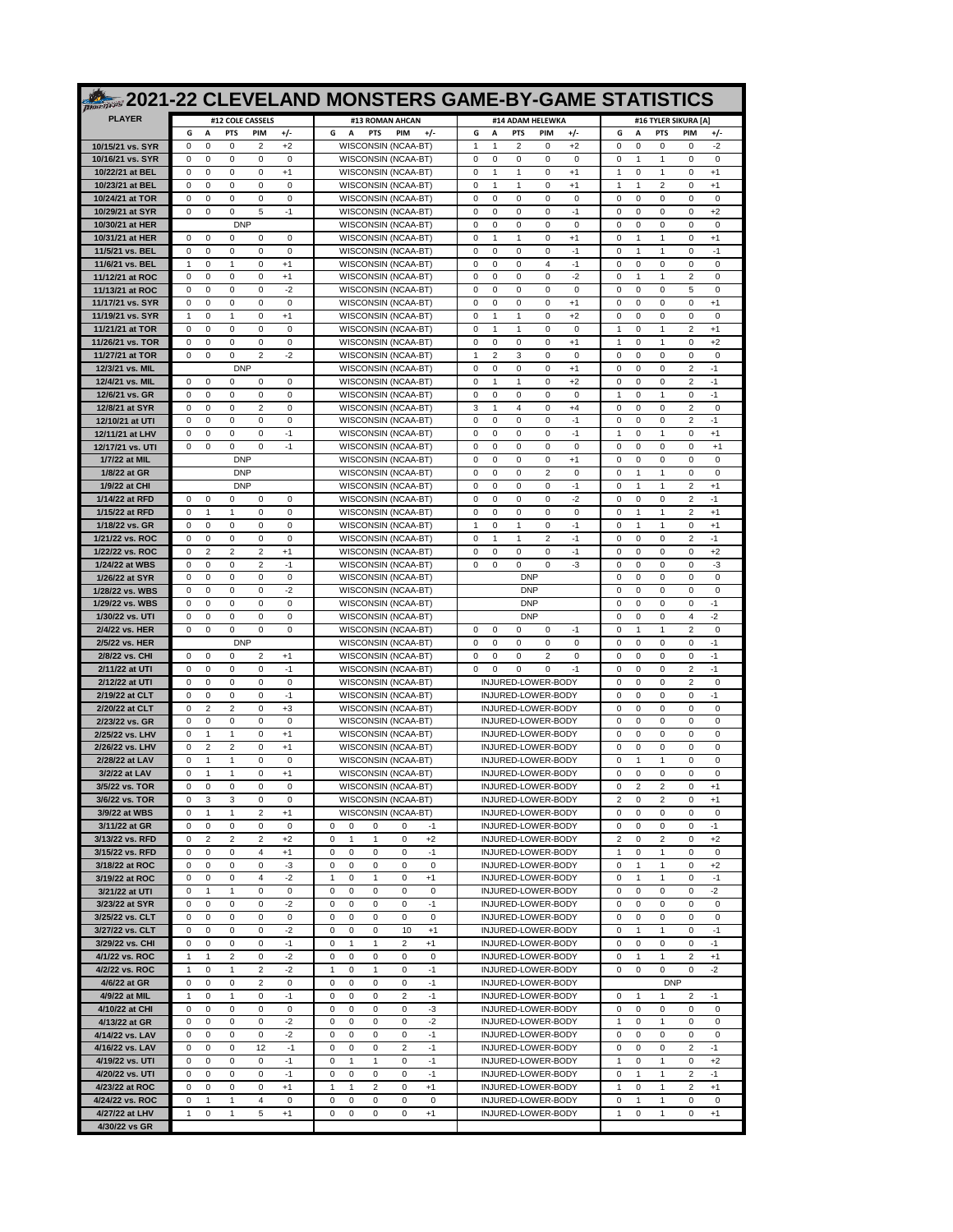|                                      |                      |                               |                                                      |              |                                                                                      | 2021-22 CLEVELAND MONSTERS GAME-BY-GAME STATISTICS                                                        |                                                                                                         |
|--------------------------------------|----------------------|-------------------------------|------------------------------------------------------|--------------|--------------------------------------------------------------------------------------|-----------------------------------------------------------------------------------------------------------|---------------------------------------------------------------------------------------------------------|
| <b>PLAYER</b>                        |                      |                               | #12 COLE CASSELS                                     |              | #13 ROMAN AHCAN                                                                      | #14 ADAM HELEWKA                                                                                          | #16 TYLER SIKURA [A]                                                                                    |
|                                      | G                    | A                             | <b>PTS</b><br><b>PIM</b>                             | +/-          | G<br>A<br><b>PTS</b><br><b>PIM</b><br>$+/-$                                          | G<br>A<br><b>PTS</b><br>PIM<br>$+/-$                                                                      | +/-<br>G<br>A<br><b>PTS</b><br><b>PIM</b>                                                               |
| 10/15/21 vs. SYR<br>10/16/21 vs. SYR | 0<br>0               | $\mathbf 0$<br>0              | $\mathbf 0$<br>$\overline{2}$<br>0<br>0              | $+2$<br>0    | WISCONSIN (NCAA-BT)<br>WISCONSIN (NCAA-BT)                                           | $\mathbf{1}$<br>2<br>$\mathbf 0$<br>$+2$<br>1<br>0<br>0<br>0<br>0<br>0                                    | 0<br>0<br>0<br>$\mathbf 0$<br>$-2$<br>0<br>1<br>1<br>0<br>0                                             |
| 10/22/21 at BEL                      | $\Omega$             | 0                             | 0<br>0                                               | $+1$         | WISCONSIN (NCAA-BT)                                                                  | 0<br>$\mathbf{1}$<br>0<br>$\mathbf{1}$<br>$+1$                                                            | 0<br>1<br>1<br>0<br>$+1$                                                                                |
| 10/23/21 at BEL                      | $\Omega$             | $\mathbf 0$                   | 0<br>0                                               | 0            | WISCONSIN (NCAA-BT)                                                                  | $\mathbf 0$<br>$\mathbf{1}$<br>$\mathbf{1}$<br>0<br>$+1$                                                  | 1<br>2<br>$+1$<br>1<br>$\Omega$                                                                         |
| 10/24/21 at TOR<br>10/29/21 at SYR   | 0<br>0               | 0<br>$\mathbf 0$              | 0<br>0<br>0<br>5                                     | 0<br>$-1$    | WISCONSIN (NCAA-BT)<br>WISCONSIN (NCAA-BT)                                           | 0<br>0<br>0<br>0<br>0<br>0<br>$\mathbf 0$<br>0<br>$\mathbf 0$<br>$-1$                                     | 0<br>0<br>0<br>0<br>0<br>0<br>0<br>0<br>0<br>$+2$                                                       |
| 10/30/21 at HER                      |                      |                               | <b>DNP</b>                                           |              | WISCONSIN (NCAA-BT)                                                                  | 0<br>0<br>0<br>0<br>0                                                                                     | 0<br>0<br>0<br>0<br>0                                                                                   |
| 10/31/21 at HER                      | $\Omega$             | $\Omega$                      | 0<br>$\Omega$                                        | $\Omega$     | WISCONSIN (NCAA-BT)                                                                  | 0<br>0<br>$+1$<br>$\mathbf{1}$<br>$\mathbf{1}$                                                            | 1<br>$\Omega$<br>1<br>0<br>$+1$                                                                         |
| 11/5/21 vs. BEL                      | 0                    | $\mathbf 0$                   | 0<br>0                                               | $\mathbf 0$  | WISCONSIN (NCAA-BT)                                                                  | 0<br>$\mathbf 0$<br>0<br>0<br>$-1$                                                                        | $\mathbf{1}$<br>1<br>0<br>$-1$<br>$\Omega$                                                              |
| 11/6/21 vs. BEL<br>11/12/21 at ROC   | 1<br>0               | 0<br>$\mathbf 0$              | 0<br>1<br>$\mathbf 0$<br>0                           | $+1$<br>$+1$ | WISCONSIN (NCAA-BT)<br><b>WISCONSIN (NCAA-BT)</b>                                    | 0<br>0<br>0<br>4<br>-1<br>$-2$<br>0<br>$\mathbf 0$<br>0<br>$\mathbf 0$                                    | 0<br>0<br>0<br>0<br>0<br>0<br>1<br>1<br>$\overline{2}$<br>$^{\circ}$                                    |
| 11/13/21 at ROC                      | 0                    | 0                             | 0<br>0                                               | $-2$         | WISCONSIN (NCAA-BT)                                                                  | 0<br>0<br>0<br>0<br>0                                                                                     | 0<br>0<br>0<br>5<br>0                                                                                   |
| 11/17/21 vs. SYR                     | $\Omega$             | 0                             | 0<br>0                                               | 0            | WISCONSIN (NCAA-BT)                                                                  | 0<br>0<br>0<br>$\Omega$<br>$+1$                                                                           | 0<br>0<br>$\Omega$<br>0<br>$+1$                                                                         |
| 11/19/21 vs. SYR<br>11/21/21 at TOR  | $\mathbf{1}$<br>0    | $\mathbf 0$<br>0              | $\mathbf{1}$<br>0<br>0<br>0                          | $+1$<br>0    | WISCONSIN (NCAA-BT)<br>WISCONSIN (NCAA-BT)                                           | $\mathbf 0$<br>$\mathbf{1}$<br>$\mathbf{1}$<br>0<br>$+2$<br>0<br>0<br>0<br>-1<br>-1                       | 0<br>0<br>0<br>$\mathbf 0$<br>0<br>0<br>2<br>1<br>1<br>$+1$                                             |
| 11/26/21 vs. TOR                     | $\mathbf 0$          | $\mathbf 0$                   | $\mathbf 0$<br>0                                     | 0            | WISCONSIN (NCAA-BT)                                                                  | 0<br>$\mathbf 0$<br>0<br>$\mathbf 0$<br>$+1$                                                              | 0<br>1<br>0<br>$+2$<br>$\mathbf{1}$                                                                     |
| 11/27/21 at TOR                      | 0                    | 0                             | 2<br>0                                               | -2           | WISCONSIN (NCAA-BT)                                                                  | 1<br>2<br>3<br>0<br>0                                                                                     | 0<br>0<br>0<br>0<br>0                                                                                   |
| 12/3/21 vs. MIL<br>12/4/21 vs. MIL   | $\Omega$             | 0                             | <b>DNP</b><br>$\Omega$<br>0                          | 0            | WISCONSIN (NCAA-BT)<br>WISCONSIN (NCAA-BT)                                           | 0<br>0<br>0<br>0<br>$+1$<br>0<br>$\mathbf{1}$<br>$\mathbf{1}$<br>0<br>$+2$                                | 0<br>0<br>$\overline{2}$<br>$-1$<br>$\Omega$<br>0<br>0<br>$\overline{2}$<br>$-1$<br>0                   |
| 12/6/21 vs. GR                       | 0                    | 0                             | 0<br>0                                               | 0            | WISCONSIN (NCAA-BT)                                                                  | 0<br>0<br>0<br>0<br>0                                                                                     | 0<br>0<br>$-1$<br>1<br>1                                                                                |
| 12/8/21 at SYR                       | $\Omega$             | $\mathbf 0$                   | $\mathbf 0$<br>$\overline{2}$                        | 0            | <b>WISCONSIN (NCAA-BT)</b>                                                           | 3<br>$\mathbf{1}$<br>$\overline{4}$<br>$\mathbf 0$<br>$+4$                                                | 0<br>0<br>0<br>$\overline{2}$<br>$^{\circ}$                                                             |
| 12/10/21 at UTI                      | 0                    | 0                             | 0<br>0                                               | 0            | WISCONSIN (NCAA-BT)                                                                  | 0<br>0<br>0<br>0<br>$-1$                                                                                  | $\overline{2}$<br>0<br>0<br>0<br>$-1$<br>1                                                              |
| 12/11/21 at LHV<br>12/17/21 vs. UTI  | $\Omega$<br>0        | 0<br>0                        | 0<br>0<br>0<br>0                                     | $-1$<br>$-1$ | WISCONSIN (NCAA-BT)<br>WISCONSIN (NCAA-BT)                                           | 0<br>0<br>$-1$<br>$\Omega$<br>$\Omega$<br>$\mathbf 0$<br>$\mathbf 0$<br>0<br>0<br>0                       | 0<br>1<br>0<br>$+1$<br>0<br>0<br>0<br>$\Omega$<br>$+1$                                                  |
| 1/7/22 at MIL                        |                      |                               | <b>DNP</b>                                           |              | WISCONSIN (NCAA-BT)                                                                  | 0<br>0<br>0<br>0<br>$+1$                                                                                  | 0<br>0<br>0<br>0<br>0                                                                                   |
| 1/8/22 at GR                         |                      |                               | <b>DNP</b>                                           |              | WISCONSIN (NCAA-BT)                                                                  | 0<br>$\mathbf 0$<br>0<br>2<br>0                                                                           | 0<br>1<br>1<br>0<br>$^{\circ}$                                                                          |
| 1/9/22 at CHI<br>1/14/22 at RFD      | $\Omega$             | 0                             | <b>DNP</b><br>$\Omega$<br>$\Omega$                   | $\Omega$     | WISCONSIN (NCAA-BT)<br>WISCONSIN (NCAA-BT)                                           | $\mathbf 0$<br>$\mathbf 0$<br>$-1$<br>$\Omega$<br>$\Omega$<br>$-2$<br>0<br>0<br>0<br>$\Omega$             | $\overline{2}$<br>$\Omega$<br>1<br>1<br>$+1$<br>0<br>0<br>$\overline{2}$<br>$\Omega$<br>$-1$            |
| 1/15/22 at RFD                       | 0                    | $\mathbf{1}$                  | $\mathbf{1}$<br>0                                    | 0            | WISCONSIN (NCAA-BT)                                                                  | 0<br>$\mathbf 0$<br>0<br>0<br>0                                                                           | 0<br>$\mathbf{1}$<br>1<br>$\overline{2}$<br>$+1$                                                        |
| 1/18/22 vs. GR                       | 0                    | 0                             | 0<br>0                                               | 0            | <b>WISCONSIN (NCAA-BT)</b>                                                           | 0<br>0<br>-1<br>1<br>-1                                                                                   | 0<br>0<br>-1<br>1<br>$+1$                                                                               |
| 1/21/22 vs. ROC<br>1/22/22 vs. ROC   | 0<br>$\Omega$        | $\mathbf 0$<br>$\overline{2}$ | $\mathbf 0$<br>0<br>$\overline{2}$<br>$\overline{2}$ | 0<br>$+1$    | WISCONSIN (NCAA-BT)<br>WISCONSIN (NCAA-BT)                                           | 0<br>$\mathbf{1}$<br>$\mathbf{1}$<br>2<br>$-1$<br>$\mathbf 0$<br>$\Omega$<br>$\Omega$<br>$\Omega$<br>$-1$ | 0<br>0<br>0<br>$\overline{2}$<br>$-1$<br>$\mathbf 0$<br>0<br>$\mathbf 0$<br>$+2$<br>$\Omega$            |
| 1/24/22 at WBS                       | $\Omega$             | 0                             | $\overline{2}$<br>0                                  | $-1$         | WISCONSIN (NCAA-BT)                                                                  | 0<br>0<br>0<br>$\mathbf 0$<br>-3                                                                          | 0<br>0<br>0<br>-3<br>$\Omega$                                                                           |
| 1/26/22 at SYR                       | $\Omega$             | $\mathbf 0$                   | 0<br>0                                               | 0            | WISCONSIN (NCAA-BT)                                                                  | <b>DNP</b>                                                                                                | 0<br>0<br>0<br>$\mathbf 0$<br>$\Omega$                                                                  |
| 1/28/22 vs. WBS<br>1/29/22 vs. WBS   | 0<br>$\mathbf 0$     | 0<br>$\mathbf 0$              | 0<br>0<br>$\mathbf 0$<br>0                           | -2<br>0      | WISCONSIN (NCAA-BT)<br>WISCONSIN (NCAA-BT)                                           | <b>DNP</b><br><b>DNP</b>                                                                                  | 0<br>0<br>0<br>0<br>0<br>0<br>0<br>0<br>0<br>$-1$                                                       |
| 1/30/22 vs. UTI                      | $\Omega$             | 0                             | 0<br>$\Omega$                                        | $\mathbf 0$  | WISCONSIN (NCAA-BT)                                                                  | <b>DNP</b>                                                                                                | $\mathbf 0$<br>0<br>$\overline{4}$<br>$\Omega$<br>-2                                                    |
| 2/4/22 vs. HER                       | $\mathbf 0$          | 0                             | 0<br>0                                               | $\mathbf 0$  | WISCONSIN (NCAA-BT)                                                                  | $\Omega$<br>0<br>$\Omega$<br>$\Omega$<br>$-1$                                                             | 1<br>$\overline{2}$<br>$\Omega$<br>1<br>$\Omega$                                                        |
| 2/5/22 vs. HER                       |                      |                               | <b>DNP</b>                                           |              | WISCONSIN (NCAA-BT)                                                                  | 0<br>0<br>0<br>0<br>0<br>$\Omega$                                                                         | 0<br>0<br>0<br>0<br>$-1$                                                                                |
| 2/8/22 vs. CHI<br>2/11/22 at UTI     | 0<br>$\Omega$        | 0<br>$\mathbf 0$              | 2<br>0<br>$\mathbf 0$<br>0                           | $+1$<br>$-1$ | WISCONSIN (NCAA-BT)<br>WISCONSIN (NCAA-BT)                                           | 0<br>0<br>2<br>0<br>0<br>0<br>0<br>$\mathbf 0$<br>$-1$                                                    | 0<br>0<br>0<br>0<br>$-1$<br>0<br>0<br>0<br>$\overline{2}$<br>$-1$                                       |
| 2/12/22 at UTI                       | $\Omega$             | 0                             | 0<br>$\Omega$                                        | $\Omega$     | WISCONSIN (NCAA-BT)                                                                  | INJURED-LOWER-BODY                                                                                        | $\mathbf 0$<br>0<br>$\overline{2}$<br>$^{\circ}$<br>$\Omega$                                            |
| 2/19/22 at CLT                       | $\Omega$<br>$\Omega$ | 0<br>$\overline{2}$           | 0<br>0<br>$\overline{2}$<br>0                        | $-1$<br>$+3$ | WISCONSIN (NCAA-BT)<br>WISCONSIN (NCAA-BT)                                           | INJURED-LOWER-BODY<br>INJURED-LOWER-BODY                                                                  | 0<br>0<br>0<br>$-1$<br>$\Omega$<br>0<br>0<br>0<br>$\mathbf 0$<br>$\Omega$                               |
| 2/20/22 at CLT<br>2/23/22 vs. GR     | 0                    | 0                             | 0<br>0                                               | 0            | WISCONSIN (NCAA-BT)                                                                  | INJURED-LOWER-BODY                                                                                        | 0<br>0<br>0<br>0<br>0                                                                                   |
| 2/25/22 vs. LHV                      | $\mathbf 0$          | 1                             | $\mathbf{1}$<br>0                                    | $+1$         | WISCONSIN (NCAA-BT)                                                                  | INJURED-LOWER-BODY                                                                                        | 0<br>0<br>0<br>0<br>$^{\circ}$                                                                          |
| 2/26/22 vs. LHV                      | 0                    | 2<br>1                        | 0<br>$\overline{2}$                                  | $+1$         | WISCONSIN (NCAA-BT)                                                                  | INJURED-LOWER-BODY                                                                                        | $\mathbf 0$<br>0<br>$\mathbf 0$<br>$\Omega$<br>$\Omega$<br>1                                            |
| 2/28/22 at LAV<br>3/2/22 at LAV      | $\mathbf 0$<br>0     | $\mathbf{1}$                  | 1<br>0<br>$\mathbf{1}$<br>0                          | 0<br>$+1$    | WISCONSIN (NCAA-BT)<br>WISCONSIN (NCAA-BT)                                           | INJURED-LOWER-BODY<br>INJURED-LOWER-BODY                                                                  | 0<br>0<br>$\Omega$<br>1<br>0<br>0<br>0<br>0<br>$\Omega$                                                 |
| 3/5/22 vs. TOR                       | 0                    | 0                             | 0<br>0                                               | 0            | WISCONSIN (NCAA-BT)                                                                  | INJURED-LOWER-BODY                                                                                        | 0<br>0<br>$+1$                                                                                          |
| 3/6/22 vs. TOR                       | 0                    | 3                             | 3<br>0                                               | 0            | WISCONSIN (NCAA-BT)                                                                  | INJURED-LOWER-BODY                                                                                        | 2<br>0<br>2<br>0<br>$+1$                                                                                |
| 3/9/22 at WBS<br>3/11/22 at GR       | 0<br>0               | 1<br>0                        | $\mathbf{1}$<br>2<br>0<br>0                          | $+1$<br>0    | WISCONSIN (NCAA-BT)<br>0<br>0<br>$-1$<br>0<br>0                                      | INJURED-LOWER-BODY<br>INJURED-LOWER-BODY                                                                  | 0<br>0<br>0<br>0<br>0<br>0<br>0<br>0<br>0<br>$-1$                                                       |
| 3/13/22 vs. RFD                      | 0                    | $\overline{2}$                | $\overline{2}$<br>2                                  | $+2$         | 0<br>$\overline{1}$<br>$\overline{1}$<br>0<br>$+2$                                   | INJURED-LOWER-BODY                                                                                        | $\overline{2}$<br>2<br>0<br>0<br>$+2$                                                                   |
| 3/15/22 vs. RFD                      | 0<br>0               | 0<br>0                        | 0<br>4<br>$\mathsf 0$<br>0                           | $+1$<br>-3   | $-1$<br>0<br>0<br>0<br>0<br>$\mathbf 0$<br>$\mathsf 0$<br>0<br>0<br>0                | INJURED-LOWER-BODY<br>INJURED-LOWER-BODY                                                                  | 0<br>1<br>0<br>1<br>0<br>$\mathbf{1}$<br>0<br>1<br>0<br>$+2$                                            |
| 3/18/22 at ROC<br>3/19/22 at ROC     | 0                    | 0                             | 0<br>4                                               | $-2$         | $\mathbf{1}$<br>0<br>$\mathbf{1}$<br>0<br>$+1$                                       | INJURED-LOWER-BODY                                                                                        | 0<br>$\mathbf{1}$<br>1<br>0<br>$-1$                                                                     |
| 3/21/22 at UTI                       | 0                    | 1                             | $\mathbf{1}$<br>0                                    | 0            | $\pmb{0}$<br>$\pmb{0}$<br>0<br>0<br>0                                                | INJURED-LOWER-BODY                                                                                        | $-2$<br>0<br>0<br>0<br>0                                                                                |
| 3/23/22 at SYR                       | 0                    | 0                             | 0<br>0                                               | $-2$         | $-1$<br>0<br>0<br>0<br>0                                                             | INJURED-LOWER-BODY                                                                                        | 0<br>0<br>0<br>0<br>$\mathbf 0$                                                                         |
| 3/25/22 vs. CLT<br>3/27/22 vs. CLT   | 0<br>0               | 0<br>0                        | 0<br>0<br>0<br>0                                     | 0<br>$-2$    | $\mathsf 0$<br>0<br>0<br>0<br>0<br>10<br>$+1$<br>0<br>0<br>0                         | INJURED-LOWER-BODY<br>INJURED-LOWER-BODY                                                                  | 0<br>0<br>0<br>0<br>0<br>$-1$<br>0<br>1<br>1<br>0                                                       |
| 3/29/22 vs. CHI                      | 0                    | 0                             | 0<br>0                                               | $-1$         | $+1$<br>0<br>$\mathbf{1}$<br>2<br>1                                                  | INJURED-LOWER-BODY                                                                                        | 0<br>0<br>0<br>$-1$<br>0                                                                                |
| 4/1/22 vs. ROC                       | 1                    | 1                             | $\overline{\mathbf{c}}$<br>0                         | $-2$         | $\pmb{0}$<br>$\pmb{0}$<br>0<br>0<br>0                                                | INJURED-LOWER-BODY                                                                                        | 1<br>$\overline{\mathbf{c}}$<br>$+1$<br>0<br>1                                                          |
| 4/2/22 vs. ROC<br>4/6/22 at GR       | $\mathbf{1}$<br>0    | 0<br>0                        | $\mathbf{1}$<br>2<br>0<br>2                          | $-2$<br>0    | $\mathsf 0$<br>$-1$<br>$\mathbf{1}$<br>0<br>$\mathbf{1}$<br>0<br>$-1$<br>0<br>0<br>0 | INJURED-LOWER-BODY<br>INJURED-LOWER-BODY                                                                  | 0<br>$-2$<br>0<br>0<br>0<br><b>DNP</b>                                                                  |
| 4/9/22 at MIL                        | $\mathbf{1}$         | 0                             | $\mathbf{1}$<br>0                                    | $-1$         | $\overline{2}$<br>$-1$<br>0<br>0<br>0                                                | INJURED-LOWER-BODY                                                                                        | 0<br>1<br>1<br>$\overline{2}$<br>$-1$                                                                   |
| 4/10/22 at CHI                       | 0                    | 0                             | 0<br>0                                               | 0            | -3<br>0<br>0<br>0<br>0                                                               | INJURED-LOWER-BODY                                                                                        | 0<br>0<br>0<br>0<br>0                                                                                   |
| 4/13/22 at GR<br>4/14/22 vs. LAV     | 0<br>0               | 0<br>0                        | 0<br>0<br>0<br>0                                     | $-2$<br>$-2$ | $\mathbf 0$<br>$-2$<br>0<br>0<br>0<br>$-1$<br>0<br>0<br>0<br>0                       | INJURED-LOWER-BODY<br>INJURED-LOWER-BODY                                                                  | 0<br>1<br>0<br>0<br>1<br>0<br>0<br>0<br>$\mathbf 0$<br>0                                                |
| 4/16/22 vs. LAV                      | 0                    | 0                             | 0<br>12                                              | $-1$         | $\overline{2}$<br>$-1$<br>0<br>0<br>0                                                | INJURED-LOWER-BODY                                                                                        | 0<br>$\overline{2}$<br>0<br>0<br>$-1$                                                                   |
| 4/19/22 vs. UTI                      | 0                    | 0                             | 0<br>0                                               | $-1$         | $-1$<br>0<br>$\mathbf{1}$<br>$\mathbf{1}$<br>0                                       | INJURED-LOWER-BODY                                                                                        | $\mathbf{1}$<br>0<br>1<br>0<br>$+2$                                                                     |
| 4/20/22 vs. UTI                      | 0                    | 0                             | 0<br>0                                               | $-1$         | 0<br>0<br>$-1$<br>0<br>0                                                             | INJURED-LOWER-BODY                                                                                        | 0<br>$\mathbf{1}$<br>1<br>$\overline{2}$<br>$-1$                                                        |
| 4/23/22 at ROC<br>4/24/22 vs. ROC    | 0<br>0               | 0<br>$\mathbf{1}$             | 0<br>0<br>$\overline{4}$<br>$\mathbf{1}$             | $+1$<br>0    | $\pmb{0}$<br>$\mathbf{1}$<br>2<br>$+1$<br>1<br>$\mathsf 0$<br>0<br>0<br>0<br>0       | INJURED-LOWER-BODY<br>INJURED-LOWER-BODY                                                                  | 0<br>1<br>$\overline{\mathbf{c}}$<br>$+1$<br>1<br>0<br>$\mathbf{1}$<br>$\mathbf{1}$<br>0<br>$\mathbf 0$ |
| 4/27/22 at LHV                       | 1                    | 0                             | 1<br>5                                               | $+1$         | 0<br>0<br>0<br>0<br>$+1$                                                             | INJURED-LOWER-BODY                                                                                        | 0<br>1<br>1<br>0<br>$+1$                                                                                |
| 4/30/22 vs GR                        |                      |                               |                                                      |              |                                                                                      |                                                                                                           |                                                                                                         |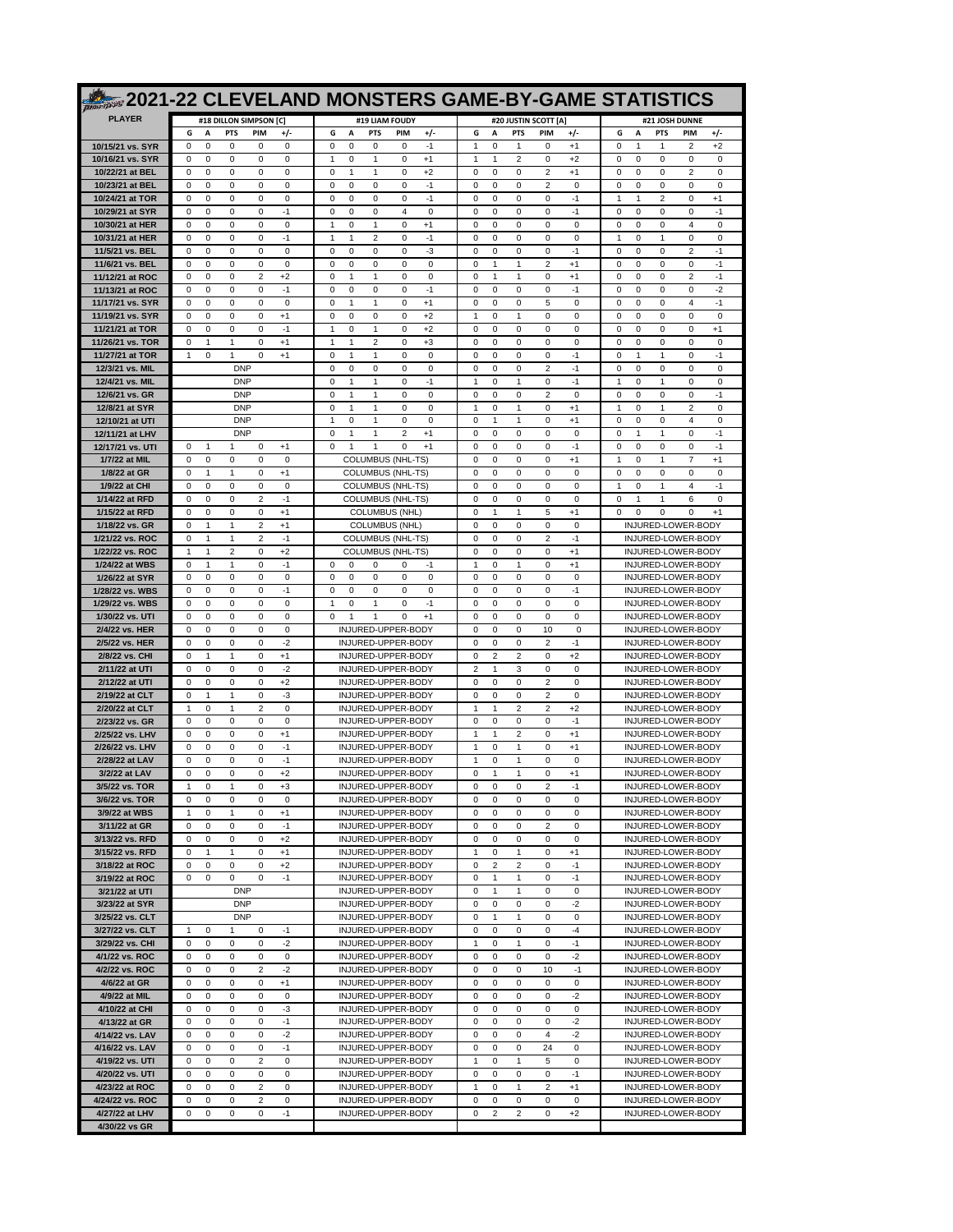|                                      |                                                                                      |                                                                                        | 2021-22 CLEVELAND MONSTERS GAME-BY-GAME STATISTICS                              |                                                                                                   |
|--------------------------------------|--------------------------------------------------------------------------------------|----------------------------------------------------------------------------------------|---------------------------------------------------------------------------------|---------------------------------------------------------------------------------------------------|
| <b>PLAYER</b>                        | #18 DILLON SIMPSON [C]                                                               | #19 LIAM FOUDY                                                                         | #20 JUSTIN SCOTT [A]                                                            | #21 JOSH DUNNE                                                                                    |
|                                      | G<br>A<br><b>PTS</b><br><b>PIM</b><br>٠/٠                                            | G<br>A<br><b>PTS</b><br><b>PIM</b><br>$+/-$                                            | G<br>A<br><b>PTS</b><br>PIM<br>$+/-$                                            | +/-<br>G<br>A<br><b>PTS</b><br>PIM                                                                |
| 10/15/21 vs. SYR<br>10/16/21 vs. SYR | $\mathbf 0$<br>0<br>0<br>0<br>0<br>0<br>0<br>0<br>0<br>0                             | 0<br>0<br>$\mathbf 0$<br>0<br>$-1$<br>1<br>0<br>1<br>0<br>$+1$                         | 1<br>0<br>$+1$<br>$\mathbf{1}$<br>$\Omega$<br>1<br>1<br>2<br>0<br>$+2$          | 0<br>1<br>$\overline{2}$<br>$+2$<br>1<br>0<br>0<br>0<br>0<br>0                                    |
| 10/22/21 at BEL                      | 0<br>$\Omega$<br>0<br>0<br>0                                                         | 1<br>0<br>$+2$<br>$\Omega$<br>1                                                        | $\overline{2}$<br>$+1$<br>$\Omega$<br>0<br>$\Omega$                             | $\overline{2}$<br>0<br>0<br>$\Omega$<br>$\Omega$                                                  |
| 10/23/21 at BEL                      | 0<br>0<br>0<br>0<br>$\Omega$                                                         | 0<br>$\mathbf 0$<br>$-1$<br>$\Omega$<br>$\Omega$                                       | 0<br>0<br>2<br>0<br>0                                                           | 0<br>0<br>0<br>$\Omega$<br>$\Omega$                                                               |
| 10/24/21 at TOR<br>10/29/21 at SYR   | 0<br>0<br>0<br>0<br>0<br>$\mathbf 0$<br>0<br>0<br>0<br>$-1$                          | 0<br>0<br>0<br>0<br>$-1$<br>0<br>0<br>0<br>$\overline{4}$<br>$\mathbf 0$               | 0<br>0<br>0<br>-1<br>0<br>0<br>0<br>0<br>0<br>$-1$                              | 2<br>0<br>$^{+1}$<br>1<br>-1<br>0<br>0<br>0<br>0<br>$-1$                                          |
| 10/30/21 at HER                      | 0<br>0<br>0<br>0<br>0                                                                | $\mathbf{1}$<br>0<br>1<br>0<br>+1                                                      | 0<br>0<br>0<br>0<br>0                                                           | 0<br>0<br>0<br>$\overline{4}$<br>0                                                                |
| 10/31/21 at HER                      | $-1$<br>$\Omega$<br>0<br>0<br>0                                                      | 0<br>$-1$<br>1<br>1<br>2                                                               | 0<br>0<br>0<br>$\Omega$<br>0                                                    | 1<br>$\Omega$<br>1<br>0<br>0                                                                      |
| 11/5/21 vs. BEL<br>11/6/21 vs. BEL   | 0<br>0<br>0<br>0<br>$\Omega$<br>0<br>0<br>0<br>0<br>0                                | 0<br>0<br>0<br>-3<br>$\Omega$<br>0<br>0<br>0<br>0<br>0                                 | 0<br>0<br>0<br>$-1$<br>0<br>0<br>2<br>$^{+1}$<br>-1<br>1                        | 0<br>$\overline{2}$<br>$-1$<br>$\Omega$<br>$\Omega$<br>0<br>0<br>0<br>0<br>-1                     |
| 11/12/21 at ROC                      | $\mathbf 0$<br>0<br>0<br>$\overline{2}$<br>$+2$                                      | 0<br>1<br>0<br>0<br>1                                                                  | 0<br>$\mathbf{1}$<br>$\mathbf{1}$<br>0<br>$+1$                                  | 0<br>0<br>0<br>$\overline{2}$<br>$-1$                                                             |
| 11/13/21 at ROC                      | 0<br>0<br>0<br>0<br>-1                                                               | 0<br>0<br>0<br>0<br>$-1$                                                               | $-1$<br>0<br>0<br>0<br>0                                                        | 0<br>0<br>0<br>0<br>-2                                                                            |
| 11/17/21 vs. SYR<br>11/19/21 vs. SYR | 0<br>$\Omega$<br>$\Omega$<br>$\Omega$<br>0<br>0<br>0<br>0<br>$+1$<br>$\Omega$        | 1<br>0<br>$\Omega$<br>$^{+1}$<br>1<br>0<br>$\mathbf 0$<br>$+2$<br>$\Omega$<br>$\Omega$ | 0<br>0<br>0<br>0<br>5<br>$\mathbf{1}$<br>0<br>0<br>$\mathbf{1}$<br>$\Omega$     | $\overline{4}$<br>$\Omega$<br>$\Omega$<br>$\Omega$<br>$-1$<br>0<br>0<br>0<br>$\Omega$<br>$\Omega$ |
| 11/21/21 at TOR                      | 0<br>0<br>0<br>0<br>-1                                                               | 0<br>0<br>+2<br>-1<br>1                                                                | 0<br>0<br>0<br>0<br>0                                                           | 0<br>0<br>0<br>0<br>$+1$                                                                          |
| 11/26/21 vs. TOR                     | $\mathbf 0$<br>1<br>$\mathbf{1}$<br>0<br>$+1$                                        | $\mathbf{1}$<br>1<br>2<br>0<br>$+3$                                                    | 0<br>0<br>0<br>0<br>0                                                           | 0<br>0<br>0<br>0<br>0                                                                             |
| 11/27/21 at TOR<br>12/3/21 vs. MIL   | 1<br>0<br>1<br>0<br>$^{+1}$<br><b>DNP</b>                                            | 0<br>1<br>1<br>0<br>0<br>$\mathbf 0$<br>0<br>$\Omega$<br>0<br>$\Omega$                 | 0<br>0<br>0<br>0<br>-1<br>$\overline{2}$<br>$-1$<br>0<br>0<br>0                 | 0<br>1<br>1<br>0<br>-1<br>0<br>$\Omega$<br>0<br>0<br>0                                            |
| 12/4/21 vs. MIL                      | <b>DNP</b>                                                                           | $\mathbf{1}$<br>$\mathbf{1}$<br>$\mathbf 0$<br>$-1$<br>$\Omega$                        | $\mathbf{1}$<br>$\mathbf{1}$<br>0<br>$-1$<br>0                                  | $\mathbf{1}$<br>0<br>0<br>1<br>$\Omega$                                                           |
| 12/6/21 vs. GR                       | <b>DNP</b>                                                                           | 0<br>0<br>0<br>1<br>1                                                                  | 0<br>0<br>2<br>0<br>0                                                           | 0<br>0<br>0<br>0<br>-1                                                                            |
| 12/8/21 at SYR<br>12/10/21 at UTI    | <b>DNP</b><br><b>DNP</b>                                                             | 0<br>1<br>0<br>0<br>1<br>$\mathbf{1}$<br>0<br>1<br>0<br>0                              | 1<br>$\mathbf 0$<br>$\mathbf{1}$<br>0<br>$+1$<br>$+1$<br>0<br>1<br>0            | $\mathbf{1}$<br>0<br>1<br>$\overline{2}$<br>0<br>0<br>0<br>0<br>0<br>$\overline{4}$               |
| 12/11/21 at LHV                      | <b>DNP</b>                                                                           | $\Omega$<br>1<br>1<br>2<br>$^{+1}$                                                     | 0<br>0<br>$\Omega$<br>0<br>$\Omega$                                             | $\Omega$<br>$\mathbf{1}$<br>1<br>0<br>$-1$                                                        |
| 12/17/21 vs. UTI                     | $+1$<br>$\Omega$<br>$\mathbf{1}$<br>$\mathbf{1}$<br>0<br>$\Omega$                    | 0<br>$\mathbf{1}$<br>$\mathbf{1}$<br>0<br>$+1$                                         | 0<br>0<br>0<br>$-1$<br>$\Omega$<br>0                                            | 0<br>$-1$<br>$\Omega$<br>$\Omega$<br>$\Omega$                                                     |
| 1/7/22 at MIL<br>1/8/22 at GR        | 0<br>0<br>0<br>0<br>$\mathbf 0$<br>1<br>$\mathbf{1}$<br>0<br>$+1$                    | COLUMBUS (NHL-TS)<br><b>COLUMBUS (NHL-TS)</b>                                          | 0<br>0<br>$^{+1}$<br>0<br>0<br>0<br>0<br>0<br>0                                 | 0<br>7<br>$+1$<br>1<br>1<br>0<br>0<br>0<br>0<br>0                                                 |
| 1/9/22 at CHI                        | $\Omega$<br>$\Omega$<br>$\Omega$<br>$\Omega$<br>$\Omega$                             | <b>COLUMBUS (NHL-TS)</b>                                                               | 0<br>0<br>$\Omega$<br>$\Omega$<br>$\Omega$                                      | $-1$<br>1<br>$\Omega$<br>1<br>$\overline{4}$                                                      |
| 1/14/22 at RFD                       | $\overline{2}$<br>$-1$<br>$\Omega$<br>0<br>0<br>0<br>0<br>0<br>$+1$<br>$\Omega$      | COLUMBUS (NHL-TS)<br><b>COLUMBUS (NHL)</b>                                             | 0<br>0<br>0<br>0<br>0<br>0<br>$\mathbf{1}$<br>5<br>$+1$                         | 0<br>$\Omega$<br>1<br>1<br>6<br>0<br>0<br>$+1$<br>$\Omega$<br>$\Omega$                            |
| 1/15/22 at RFD<br>1/18/22 vs. GR     | 0<br>2<br>1<br>1<br>$+1$                                                             | <b>COLUMBUS (NHL)</b>                                                                  | 1<br>0<br>0<br>0<br>0<br>0                                                      | INJURED-LOWER-BODY                                                                                |
| 1/21/22 vs. ROC                      | $\mathbf 0$<br>1<br>$\mathbf{1}$<br>$\overline{2}$<br>$-1$                           | <b>COLUMBUS (NHL-TS)</b>                                                               | 0<br>0<br>0<br>2<br>$-1$                                                        | INJURED-LOWER-BODY                                                                                |
| 1/22/22 vs. ROC                      | 0<br>1<br>1<br>2<br>$+2$<br>$\Omega$<br>1<br>1<br>$-1$                               | <b>COLUMBUS (NHL-TS)</b><br>$\Omega$<br>$\Omega$<br>O<br>$\Omega$<br>$-1$              | $\Omega$<br>$\Omega$<br>$\Omega$<br>$\Omega$<br>$+1$<br>1<br>$\Omega$<br>-1     | INJURED-LOWER-BODY                                                                                |
| 1/24/22 at WBS<br>1/26/22 at SYR     | 0<br>0<br>0<br>0<br>0<br>$\Omega$                                                    | 0<br>0<br>$\mathbf 0$<br>0<br>$\Omega$                                                 | 0<br>$+1$<br>0<br>0<br>0<br>0<br>0                                              | INJURED-LOWER-BODY<br>INJURED-LOWER-BODY                                                          |
| 1/28/22 vs. WBS                      | 0<br>0<br>0<br>0<br>-1                                                               | 0<br>0<br>0<br>0<br>0                                                                  | 0<br>0<br>0<br>-1<br>0                                                          | INJURED-LOWER-BODY                                                                                |
| 1/29/22 vs. WBS<br>1/30/22 vs. UTI   | $\mathbf 0$<br>0<br>0<br>0<br>0<br>0<br>$\Omega$<br>$\Omega$<br>$\Omega$<br>$\Omega$ | $\mathbf{1}$<br>0<br>0<br>$-1$<br>1<br>$\Omega$<br>1<br>1<br>$\Omega$<br>$+1$          | 0<br>0<br>0<br>0<br>0<br>0<br>0<br>$\Omega$<br>$\Omega$<br>$\Omega$             | INJURED-LOWER-BODY<br>INJURED-LOWER-BODY                                                          |
| 2/4/22 vs. HER                       | 0<br>$\Omega$<br>0<br>0<br>0                                                         | INJURED-UPPER-BODY                                                                     | 10<br>0<br>$\Omega$<br>0<br>$\Omega$                                            | INJURED-LOWER-BODY                                                                                |
| 2/5/22 vs. HER                       | 0<br>0<br>0<br>$-2$<br>$\Omega$                                                      | INJURED-UPPER-BODY                                                                     | 0<br>0<br>2<br>$-1$<br>$\Omega$                                                 | INJURED-LOWER-BODY                                                                                |
| 2/8/22 vs. CHI<br>2/11/22 at UTI     | 0<br>0<br>1<br>1<br>$+1$<br>$\mathbf 0$<br>0<br>0<br>0<br>$-2$                       | INJURED-UPPER-BODY<br>INJURED-UPPER-BODY                                               | $\Omega$<br>2<br>0<br>+2<br>2<br>2<br>$\mathbf{1}$<br>0<br>0<br>3               | INJURED-LOWER-BODY<br>INJURED-LOWER-BODY                                                          |
| 2/12/22 at UTI                       | $\mathbf 0$<br>0<br>$\Omega$<br>$\Omega$<br>$+2$                                     | INJURED-UPPER-BODY                                                                     | 2<br>0<br>$\Omega$<br>$\Omega$<br>$\Omega$                                      | INJURED-LOWER-BODY                                                                                |
| 2/19/22 at CLT                       | $\Omega$<br>1<br>1<br>0<br>-3                                                        | INJURED-UPPER-BODY                                                                     | 0<br>$\overline{2}$<br>0<br>0<br>$\Omega$                                       | INJURED-LOWER-BODY                                                                                |
| 2/20/22 at CLT<br>2/23/22 vs. GR     | 0<br>$\mathbf{1}$<br>2<br>0<br>$\mathbf{1}$<br>0<br>0<br>0<br>0<br>0                 | INJURED-UPPER-BODY<br>INJURED-UPPER-BODY                                               | $\mathbf{1}$<br>2<br>2<br>$+2$<br>$\mathbf{1}$<br>$\Omega$<br>0<br>0<br>-1<br>0 | INJURED-LOWER-BODY<br>INJURED-LOWER-BODY                                                          |
| 2/25/22 vs. LHV                      | 0<br>0<br>0<br>$+1$<br>$\Omega$                                                      | INJURED-UPPER-BODY                                                                     | 1<br>$\mathbf{1}$<br>2<br>0<br>$+1$                                             | INJURED-LOWER-BODY                                                                                |
| 2/26/22 vs. LHV                      | $\Omega$<br>$\Omega$<br>$\Omega$<br>$\Omega$<br>$-1$                                 | INJURED-UPPER-BODY                                                                     | 1<br>$\Omega$<br>$\mathbf{1}$<br>$\Omega$<br>$+1$                               | INJURED-LOWER-BODY                                                                                |
| 2/28/22 at LAV<br>3/2/22 at LAV      | $-1$<br>$\Omega$<br>0<br>0<br>0<br>0<br>0<br>0<br>0<br>$+2$                          | INJURED-UPPER-BODY<br>INJURED-UPPER-BODY                                               | 1<br>1<br>0<br>0<br>$\Omega$<br>0<br>1<br>1<br>0<br>$+1$                        | INJURED-LOWER-BODY<br>INJURED-LOWER-BODY                                                          |
| 3/5/22 vs. TOR                       | 0<br>0<br>+3                                                                         | INJURED-UPPER-BODY                                                                     | 0<br>0                                                                          | INJURED-LOWER-BODY                                                                                |
| 3/6/22 vs. TOR                       | 0<br>0<br>0<br>0<br>0                                                                | INJURED-UPPER-BODY                                                                     | 0<br>0<br>0<br>0<br>0                                                           | INJURED-LOWER-BODY                                                                                |
| 3/9/22 at WBS<br>3/11/22 at GR       | 0<br>0<br>1<br>1<br>$+1$<br>0<br>$-1$<br>0<br>0<br>0                                 | INJURED-UPPER-BODY<br>INJURED-UPPER-BODY                                               | 0<br>0<br>0<br>0<br>0<br>2<br>$\mathsf 0$<br>0<br>0<br>0                        | INJURED-LOWER-BODY<br>INJURED-LOWER-BODY                                                          |
| 3/13/22 vs. RFD                      | 0<br>0<br>0<br>0<br>$+2$                                                             | INJURED-UPPER-BODY                                                                     | $\mathsf 0$<br>$\mathbf 0$<br>0<br>0<br>0                                       | INJURED-LOWER-BODY                                                                                |
| 3/15/22 vs. RFD<br>3/18/22 at ROC    | 0<br>0<br>$+1$<br>-1<br>-1<br>0<br>0<br>0<br>0<br>$+2$                               | INJURED-UPPER-BODY<br>INJURED-UPPER-BODY                                               | 1<br>0<br>0<br>$+1$<br>-1<br>$-1$<br>0<br>$\overline{2}$<br>2<br>0              | INJURED-LOWER-BODY<br>INJURED-LOWER-BODY                                                          |
| 3/19/22 at ROC                       | 0<br>0<br>0<br>0<br>$-1$                                                             | INJURED-UPPER-BODY                                                                     | $-1$<br>0<br>$\mathbf{1}$<br>0<br>$\mathbf{1}$                                  | INJURED-LOWER-BODY                                                                                |
| 3/21/22 at UTI                       | <b>DNP</b>                                                                           | INJURED-UPPER-BODY                                                                     | $\mathsf 0$<br>0<br>1<br>0<br>1                                                 | INJURED-LOWER-BODY                                                                                |
| 3/23/22 at SYR<br>3/25/22 vs. CLT    | <b>DNP</b><br><b>DNP</b>                                                             | INJURED-UPPER-BODY<br>INJURED-UPPER-BODY                                               | $-2$<br>0<br>0<br>0<br>0<br>0<br>0<br>$\mathbf{1}$<br>1<br>0                    | INJURED-LOWER-BODY<br>INJURED-LOWER-BODY                                                          |
| 3/27/22 vs. CLT                      | $\mathbf{1}$<br>0<br>$\mathbf{1}$<br>$-1$<br>0                                       | INJURED-UPPER-BODY                                                                     | $-4$<br>0<br>0<br>0<br>0                                                        | INJURED-LOWER-BODY                                                                                |
| 3/29/22 vs. CHI                      | 0<br>0<br>$-2$<br>0<br>0                                                             | INJURED-UPPER-BODY                                                                     | 1<br>0<br>0<br>$-1$<br>1                                                        | INJURED-LOWER-BODY                                                                                |
| 4/1/22 vs. ROC<br>4/2/22 vs. ROC     | 0<br>0<br>0<br>0<br>0<br>0<br>0<br>2<br>$-2$<br>0                                    | INJURED-UPPER-BODY<br>INJURED-UPPER-BODY                                               | $-2$<br>0<br>0<br>0<br>0<br>$-1$<br>0<br>0<br>0<br>10                           | INJURED-LOWER-BODY<br>INJURED-LOWER-BODY                                                          |
| 4/6/22 at GR                         | 0<br>0<br>0<br>0<br>$+1$                                                             | INJURED-UPPER-BODY                                                                     | 0<br>0<br>0<br>0<br>0                                                           | INJURED-LOWER-BODY                                                                                |
| 4/9/22 at MIL                        | 0<br>0<br>0<br>0<br>0                                                                | INJURED-UPPER-BODY                                                                     | $-2$<br>0<br>0<br>0<br>0                                                        | INJURED-LOWER-BODY                                                                                |
| 4/10/22 at CHI<br>4/13/22 at GR      | 0<br>0<br>0<br>-3<br>0<br>0<br>0<br>$-1$<br>0<br>0                                   | INJURED-UPPER-BODY<br>INJURED-UPPER-BODY                                               | 0<br>0<br>0<br>0<br>0<br>$-2$<br>0<br>0<br>0<br>0                               | INJURED-LOWER-BODY<br>INJURED-LOWER-BODY                                                          |
| 4/14/22 vs. LAV                      | 0<br>0<br>$-2$<br>0<br>0                                                             | INJURED-UPPER-BODY                                                                     | $-2$<br>0<br>0<br>4<br>0                                                        | INJURED-LOWER-BODY                                                                                |
| 4/16/22 vs. LAV                      | 0<br>0<br>0<br>0<br>-1                                                               | INJURED-UPPER-BODY                                                                     | 0<br>0<br>0<br>0<br>24                                                          | INJURED-LOWER-BODY                                                                                |
| 4/19/22 vs. UTI<br>4/20/22 vs. UTI   | 0<br>0<br>0<br>$\overline{2}$<br>0<br>0<br>0<br>0<br>0<br>0                          | INJURED-UPPER-BODY<br>INJURED-UPPER-BODY                                               | 1<br>0<br>$\mathbf{1}$<br>5<br>$\mathbf 0$<br>0<br>0<br>$-1$<br>0<br>0          | INJURED-LOWER-BODY<br>INJURED-LOWER-BODY                                                          |
| 4/23/22 at ROC                       | 0<br>$\overline{\mathbf{c}}$<br>0<br>0<br>0                                          | INJURED-UPPER-BODY                                                                     | $\overline{2}$<br>$+1$<br>1<br>0<br>1                                           | INJURED-LOWER-BODY                                                                                |
| 4/24/22 vs. ROC                      | 0<br>0<br>0<br>2<br>0                                                                | INJURED-UPPER-BODY                                                                     | $\mathbf 0$<br>0<br>0<br>0<br>0                                                 | INJURED-LOWER-BODY                                                                                |
| 4/27/22 at LHV<br>4/30/22 vs GR      | 0<br>0<br>0<br>0<br>-1                                                               | INJURED-UPPER-BODY                                                                     | $+2$<br>0<br>2<br>2<br>0                                                        | INJURED-LOWER-BODY                                                                                |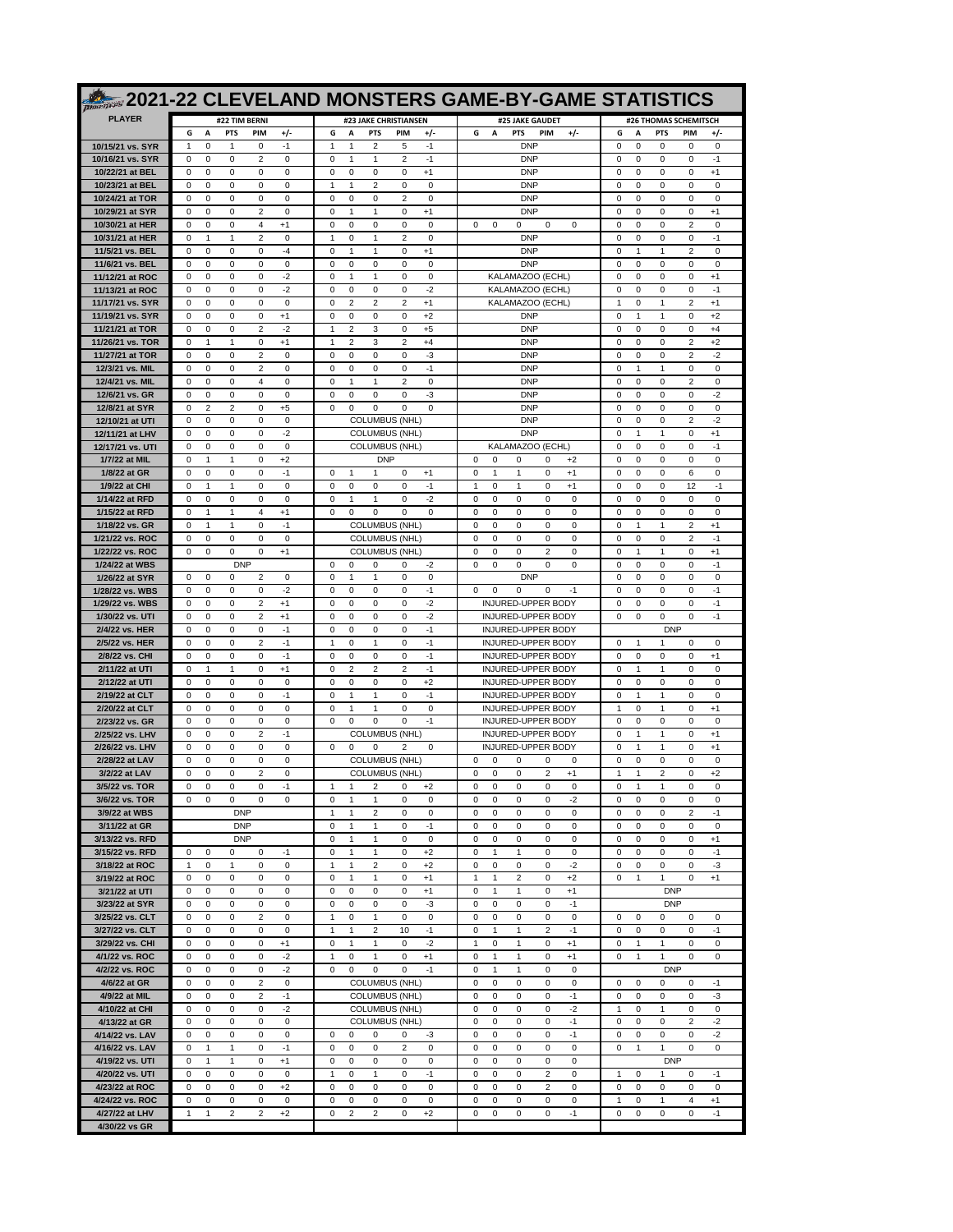|                                      |                                                                                                                                   | 2021-22 CLEVELAND MONSTERS GAME-BY-GAME STATISTICS                                                                  |                                                                                                             |                                                                                                                  |
|--------------------------------------|-----------------------------------------------------------------------------------------------------------------------------------|---------------------------------------------------------------------------------------------------------------------|-------------------------------------------------------------------------------------------------------------|------------------------------------------------------------------------------------------------------------------|
| <b>PLAYER</b>                        | #22 TIM BERNI                                                                                                                     | #23 JAKE CHRISTIANSEN                                                                                               | #25 JAKE GAUDET                                                                                             | #26 THOMAS SCHEMITSCH                                                                                            |
|                                      | G<br>А<br><b>PTS</b><br>PIM<br>$+/-$                                                                                              | G<br>А<br><b>PTS</b><br>PIM<br>$+/-$                                                                                | G<br>Α<br>PTS<br>PIM<br>$+/-$                                                                               | G<br>A<br><b>PTS</b><br>PIM<br>+/-                                                                               |
| 10/15/21 vs. SYR<br>10/16/21 vs. SYR | $-1$<br>$\mathbf 0$<br>1<br>$\Omega$<br>-1<br>$\mathbf 0$<br>0<br>2<br>0<br>$\Omega$                                              | $\overline{2}$<br>$-1$<br>1<br>1<br>5<br>$\mathbf{1}$<br>1<br>2<br>$-1$<br>$\Omega$                                 | <b>DNP</b><br><b>DNP</b>                                                                                    | $\mathbf 0$<br>0<br>0<br>$\mathbf 0$<br>$\Omega$<br>0<br>$\mathbf 0$<br>0<br>$\mathbf 0$<br>$-1$                 |
| 10/22/21 at BEL                      | 0<br>$\Omega$<br>$\Omega$<br>0<br>0                                                                                               | 0<br>0<br>0<br>0<br>$+1$                                                                                            | <b>DNP</b>                                                                                                  | $\Omega$<br>0<br>0<br>0<br>$+1$                                                                                  |
| 10/23/21 at BEL                      | $\mathbf 0$<br>$\mathbf 0$<br>0<br>0<br>$\mathbf 0$                                                                               | $\mathbf{1}$<br>$\mathbf{1}$<br>$\overline{2}$<br>0<br>0                                                            | <b>DNP</b>                                                                                                  | $\mathbf 0$<br>0<br>0<br>$\mathbf 0$<br>$^{\circ}$                                                               |
| 10/24/21 at TOR<br>10/29/21 at SYR   | $\mathbf 0$<br>$\mathbf 0$<br>0<br>0<br>$\Omega$<br>2<br>0<br>$\Omega$<br>$\Omega$<br>$\Omega$                                    | 0<br>0<br>$\mathbf 0$<br>2<br>0<br>0<br>$\Omega$<br>1<br>1<br>$+1$                                                  | <b>DNP</b><br><b>DNP</b>                                                                                    | 0<br>0<br>$\mathbf 0$<br>$^{\circ}$<br>$\Omega$<br>0<br>0<br>0<br>$+1$<br>$\Omega$                               |
| 10/30/21 at HER                      | $\mathbf 0$<br>$\mathbf 0$<br>0<br>$\overline{4}$<br>$+1$                                                                         | 0<br>0<br>$\mathbf 0$<br>0<br>0                                                                                     | 0<br>0<br>0<br>0<br>$\Omega$                                                                                | $\mathbf 0$<br>0<br>0<br>$\overline{2}$<br>$\mathbf 0$                                                           |
| 10/31/21 at HER                      | 2<br>$\Omega$<br>1<br>1<br>0                                                                                                      | $\overline{2}$<br>1<br>0<br>1<br>0                                                                                  | <b>DNP</b>                                                                                                  | 0<br>$-1$<br>$\Omega$<br>0<br>0                                                                                  |
| 11/5/21 vs. BEL<br>11/6/21 vs. BEL   | $-4$<br>$\mathbf 0$<br>$\mathbf 0$<br>0<br>0<br>$\mathbf 0$<br>$\mathbf 0$<br>0<br>0<br>$\Omega$                                  | $\mathbf 0$<br>$\mathbf{1}$<br>$\mathbf{1}$<br>0<br>$+1$<br>0<br>0<br>$\mathbf 0$<br>0<br>0                         | <b>DNF</b><br><b>DNP</b>                                                                                    | $\mathbf 0$<br>1<br>$\mathbf{1}$<br>$\overline{2}$<br>$^{\circ}$<br>0<br>0<br>0<br>$\mathbf 0$<br>$^{\circ}$     |
| 11/12/21 at ROC                      | 0<br>-2<br>$\Omega$<br>$\Omega$<br>0                                                                                              | 0<br>0<br>$\Omega$<br>1<br>1                                                                                        | KALAMAZOO (ECHL)                                                                                            | 0<br>0<br>$\mathbf 0$<br>$\Omega$<br>$+1$                                                                        |
| 11/13/21 at ROC                      | $\mathbf 0$<br>$\mathbf 0$<br>0<br>0<br>$-2$                                                                                      | 0<br>0<br>$\mathbf 0$<br>0<br>$-2$                                                                                  | KALAMAZOO (ECHL)                                                                                            | $\mathbf 0$<br>0<br>0<br>$\mathbf 0$<br>$-1$                                                                     |
| 11/17/21 vs. SYR<br>11/19/21 vs. SYR | $\Omega$<br>0<br>0<br>0<br>0<br>$\mathbf 0$<br>$\mathbf 0$<br>0<br>0<br>$+1$                                                      | $\overline{2}$<br>$\overline{2}$<br>$\Omega$<br>2<br>$+1$<br>$\mathbf 0$<br>0<br>$\mathbf 0$<br>$\mathbf 0$<br>$+2$ | KALAMAZOO (ECHL)<br><b>DNF</b>                                                                              | $\overline{2}$<br>1<br>$\Omega$<br>1<br>$+1$<br>$\mathbf 0$<br>1<br>$\mathbf{1}$<br>$\mathbf 0$<br>$+2$          |
| 11/21/21 at TOR                      | $\mathbf 0$<br>$\mathbf 0$<br>0<br>2<br>$-2$                                                                                      | $\overline{2}$<br>3<br>0<br>$+5$<br>1                                                                               | <b>DNP</b>                                                                                                  | $\mathbf 0$<br>0<br>0<br>$\mathbf 0$<br>$+4$                                                                     |
| 11/26/21 vs. TOR                     | $\Omega$<br>1<br>1<br>0<br>$+1$                                                                                                   | 2<br>1<br>2<br>3<br>$+4$                                                                                            | <b>DNP</b>                                                                                                  | 0<br>0<br>$\overline{2}$<br>$\Omega$<br>$+2$                                                                     |
| 11/27/21 at TOR<br>12/3/21 vs. MIL   | $\mathbf 0$<br>$\mathbf 0$<br>0<br>2<br>$\mathbf 0$<br>2<br>0<br>$\Omega$<br>0<br>0                                               | 0<br>0<br>$\mathbf 0$<br>0<br>-3<br>$-1$<br>$\Omega$<br>0<br>0<br>0                                                 | <b>DNP</b><br><b>DNP</b>                                                                                    | $\mathbf 0$<br>0<br>0<br>$\overline{2}$<br>$-2$<br>0<br>$\Omega$<br>1<br>1<br>0                                  |
| 12/4/21 vs. MIL                      | $\overline{4}$<br>$\mathbf 0$<br>$\mathbf 0$<br>$\mathbf 0$<br>0                                                                  | $\overline{2}$<br>$\mathbf 0$<br>$\mathbf{1}$<br>$\mathbf{1}$<br>0                                                  | <b>DNP</b>                                                                                                  | $\mathbf 0$<br>0<br>0<br>$\overline{2}$<br>$^{\circ}$                                                            |
| 12/6/21 vs. GR                       | $\mathbf 0$<br>$\mathbf 0$<br>0<br>$\Omega$<br>0                                                                                  | $\mathbf 0$<br>$\mathbf 0$<br>0<br>-3<br>$\Omega$                                                                   | <b>DNP</b>                                                                                                  | 0<br>0<br>$\mathbf 0$<br>$-2$<br>$\Omega$                                                                        |
| 12/8/21 at SYR<br>12/10/21 at UTI    | 2<br>0<br>$+5$<br>$\Omega$<br>2<br>$\mathbf 0$<br>$\mathbf 0$<br>0<br>0<br>$\mathbf 0$                                            | $\Omega$<br>0<br>0<br>$\Omega$<br>$\Omega$<br><b>COLUMBUS (NHL)</b>                                                 | <b>DNP</b><br><b>DNP</b>                                                                                    | 0<br>0<br>0<br>0<br>$\Omega$<br>$\mathbf 0$<br>$\mathbf 0$<br>0<br>$\overline{2}$<br>$-2$                        |
| 12/11/21 at LHV                      | $-2$<br>$\Omega$<br>0<br>0<br>0                                                                                                   | <b>COLUMBUS (NHL)</b>                                                                                               | <b>DNP</b>                                                                                                  | $\Omega$<br>1<br>1<br>0<br>$+1$                                                                                  |
| 12/17/21 vs. UTI                     | $\mathbf 0$<br>$\mathbf 0$<br>0<br>0<br>$\mathbf 0$                                                                               | <b>COLUMBUS (NHL)</b>                                                                                               | KALAMAZOO (ECHL)                                                                                            | $-1$<br>$\mathbf 0$<br>0<br>0<br>$\mathbf 0$                                                                     |
| 1/7/22 at MIL<br>1/8/22 at GR        | $\mathbf 0$<br>$\mathbf{1}$<br>1<br>0<br>$+2$<br>$\Omega$<br>0<br>$-1$<br>$\Omega$<br>0                                           | <b>DNP</b><br>$\Omega$<br>1<br>-1<br>0<br>$+1$                                                                      | $^{\circ}$<br>0<br>$\Omega$<br>$\Omega$<br>$+2$<br>$\Omega$<br>1<br>1<br>$\Omega$<br>$+1$                   | $\mathbf 0$<br>0<br>0<br>$\mathbf 0$<br>$^{\circ}$<br>0<br>0<br>6<br>$\Omega$<br>$\Omega$                        |
| 1/9/22 at CHI                        | $\mathbf 0$<br>$\mathbf{1}$<br>$\mathbf{1}$<br>0<br>$\mathbf 0$                                                                   | 0<br>0<br>0<br>0<br>$-1$                                                                                            | 0<br>1<br>$\mathbf 0$<br>$+1$<br>$\mathbf{1}$                                                               | $\mathbf 0$<br>0<br>0<br>12<br>$-1$                                                                              |
| 1/14/22 at RFD                       | $\Omega$<br>0<br>0<br>0<br>0                                                                                                      | $-2$<br>0<br>1<br>1<br>0                                                                                            | 0<br>0<br>0<br>0<br>0                                                                                       | 0<br>0<br>$\Omega$<br>0<br>0                                                                                     |
| 1/15/22 at RFD<br>1/18/22 vs. GR     | $\mathbf 0$<br>$\mathbf{1}$<br>$\mathbf{1}$<br>$\overline{4}$<br>$+1$<br>$\mathbf 0$<br>$-1$<br>$\mathbf{1}$<br>$\mathbf{1}$<br>0 | $\mathbf 0$<br>0<br>$\mathbf 0$<br>$\mathbf 0$<br>0<br><b>COLUMBUS (NHL)</b>                                        | $\mathbf 0$<br>0<br>0<br>0<br>$\mathbf 0$<br>0<br>0<br>$\mathbf 0$<br>$^{\circ}$<br>0                       | $\mathbf 0$<br>0<br>0<br>$\mathbf 0$<br>$^{\circ}$<br>$\mathbf 0$<br>$\overline{2}$<br>$\mathbf{1}$<br>1<br>$+1$ |
| 1/21/22 vs. ROC                      | 0<br>0<br>$\Omega$<br>$\Omega$<br>$\Omega$                                                                                        | <b>COLUMBUS (NHL)</b>                                                                                               | 0<br>0<br>$\Omega$<br>$\Omega$<br>0                                                                         | 0<br>0<br>$\overline{2}$<br>$-1$<br>$\Omega$                                                                     |
| 1/22/22 vs. ROC                      | 0<br>$\mathbf 0$<br>0<br>0<br>$+1$                                                                                                | <b>COLUMBUS (NHL)</b>                                                                                               | 0<br>$\mathbf 0$<br>0<br>2<br>0                                                                             | $\mathbf 0$<br>1<br>$\mathbf{1}$<br>$\mathbf 0$<br>$+1$                                                          |
| 1/24/22 at WBS<br>1/26/22 at SYR     | <b>DNP</b><br>0<br>$\mathbf 0$<br>0<br>2<br>$\mathbf 0$                                                                           | 0<br>0<br>$\Omega$<br>0<br>-2<br>$\mathbf 0$<br>$\mathbf{1}$<br>$\mathbf{1}$<br>$\mathbf 0$<br>0                    | 0<br>0<br>0<br>$\Omega$<br>$\Omega$<br><b>DNP</b>                                                           | 0<br>$-1$<br>$\Omega$<br>0<br>0<br>$\mathbf 0$<br>0<br>0<br>$\mathbf 0$<br>$^{\circ}$                            |
| 1/28/22 vs. WBS                      | 0<br>$\mathbf 0$<br>$-2$<br>$\Omega$<br>$\Omega$                                                                                  | 0<br>0<br>$\mathbf 0$<br>0<br>$-1$                                                                                  | 0<br>$\Omega$<br>0<br>0<br>$-1$                                                                             | 0<br>0<br>0<br>$\mathbf 0$<br>$-1$                                                                               |
| 1/29/22 vs. WBS                      | 2<br>$\Omega$<br>$\Omega$<br>0<br>$+1$                                                                                            | 0<br>-2<br>$\Omega$<br>$\Omega$<br>$\Omega$                                                                         | <b>INJURED-UPPER BODY</b>                                                                                   | $-1$<br>0<br>0<br>$\mathbf 0$<br>$\Omega$                                                                        |
| 1/30/22 vs. UTI<br>2/4/22 vs. HER    | $\mathbf 0$<br>$\mathbf 0$<br>0<br>2<br>$+1$<br>$-1$<br>$\Omega$<br>0<br>0<br>0                                                   | $\mathbf 0$<br>0<br>$\mathbf 0$<br>0<br>$-2$<br>0<br>$-1$<br>0<br>0<br>0                                            | <b>INJURED-UPPER BODY</b><br>INJURED-UPPER BODY                                                             | $-1$<br>0<br>0<br>0<br>$\mathbf 0$<br><b>DNP</b>                                                                 |
| 2/5/22 vs. HER                       | $-1$<br>$\mathbf 0$<br>$\mathbf 0$<br>0<br>2                                                                                      | $\mathbf{1}$<br>0<br>$\mathbf{1}$<br>0<br>$-1$                                                                      | <b>INJURED-UPPER BODY</b>                                                                                   | $\mathbf 0$<br>1<br>$\mathbf{1}$<br>$\mathbf 0$<br>$\mathbf 0$                                                   |
| 2/8/22 vs. CHI                       | $\mathbf 0$<br>$\mathbf 0$<br>0<br>0<br>$-1$<br>$\Omega$                                                                          | 0<br>0<br>$\mathbf 0$<br>0<br>$-1$<br>0                                                                             | INJURED-UPPER BODY<br><b>INJURED-UPPER BODY</b>                                                             | $\mathbf 0$<br>0<br>0<br>$\mathbf 0$<br>$+1$<br>$\Omega$                                                         |
| 2/11/22 at UTI<br>2/12/22 at UTI     | 0<br>1<br>1<br>$+1$<br>$\mathbf 0$<br>$\mathbf 0$<br>0<br>0<br>$\mathbf 0$                                                        | $\overline{2}$<br>2<br>$-1$<br>2<br>$\mathbf 0$<br>0<br>$\mathbf 0$<br>0<br>$+2$                                    | <b>INJURED-UPPER BODY</b>                                                                                   | 0<br>0<br>1<br>1<br>$\mathbf 0$<br>0<br>0<br>$\mathbf 0$<br>$^{\circ}$                                           |
| 2/19/22 at CLT                       | $-1$<br>$\Omega$<br>0<br>0<br>0                                                                                                   | 1<br>$-1$<br>0<br>1<br>0                                                                                            | <b>INJURED-UPPER BODY</b>                                                                                   | 1<br>$\Omega$<br>1<br>0<br>0                                                                                     |
| 2/20/22 at CLT<br>2/23/22 vs. GR     | $\mathbf 0$<br>$\mathbf 0$<br>0<br>0<br>$\mathbf 0$<br>$\mathbf 0$<br>$\mathbf 0$<br>0<br>0<br>$\Omega$                           | $\mathbf 0$<br>1<br>$\mathbf{1}$<br>$\mathbf 0$<br>0<br>0<br>0<br>$\mathbf 0$<br>0<br>$-1$                          | <b>INJURED-UPPER BODY</b><br>INJURED-UPPER BODY                                                             | $\mathbf{1}$<br>0<br>$\mathbf{1}$<br>$\mathbf 0$<br>$+1$<br>$\mathbf 0$<br>0<br>0<br>$\mathbf 0$<br>$^{\circ}$   |
| 2/25/22 vs. LHV                      | 2<br>$-1$<br>$\Omega$<br>$\Omega$<br>0                                                                                            | <b>COLUMBUS (NHL)</b>                                                                                               | INJURED-UPPER BODY                                                                                          | 0<br>$\Omega$<br>1<br>1<br>$+1$                                                                                  |
| 2/26/22 vs. LHV                      | $\mathbf 0$<br>$\mathbf 0$<br>0<br>0<br>$\mathbf 0$                                                                               | $\mathbf 0$<br>$\Omega$<br>$\mathbf 0$<br>2<br>$\Omega$                                                             | <b>INJURED-UPPER BODY</b>                                                                                   | 0<br>1<br>$\mathbf 0$<br>$+1$<br>$\mathbf{1}$                                                                    |
| 2/28/22 at LAV<br>3/2/22 at LAV      | 0<br>0<br>$\Omega$<br>0<br>0<br>$\overline{2}$<br>$\mathbf 0$<br>$\mathbf 0$<br>0<br>0                                            | <b>COLUMBUS (NHL)</b><br><b>COLUMBUS (NHL)</b>                                                                      | 0<br>$\Omega$<br>0<br>0<br>0<br>0<br>0<br>0<br>2<br>$+1$                                                    | 0<br>0<br>0<br>0<br>$\Omega$<br>$\overline{2}$<br>1<br>1<br>0<br>$+2$                                            |
| 3/5/22 vs. TOR                       | 0<br>0<br>0<br>0<br>-1                                                                                                            | 1<br>$\overline{1}$<br>2<br>0<br>$+2$                                                                               | 0<br>0<br>$\Omega$<br>0<br>0                                                                                | 0<br>$\mathbf{1}$<br>1<br>0<br>$\Omega$                                                                          |
| 3/6/22 vs. TOR                       | 0<br>0<br>0<br>0<br>0                                                                                                             | 0<br>1<br>$\mathbf{1}$<br>0<br>0                                                                                    | $-2$<br>0<br>0<br>0<br>0                                                                                    | 0<br>0<br>0<br>0<br>0                                                                                            |
| 3/9/22 at WBS<br>3/11/22 at GR       | <b>DNP</b><br><b>DNP</b>                                                                                                          | $\mathbf{1}$<br>$\mathbf{1}$<br>$\overline{2}$<br>0<br>0<br>$-1$<br>$\mathbf{1}$<br>$\mathbf{1}$<br>0<br>0          | $\mathsf 0$<br>$\mathbf 0$<br>$\mathbf 0$<br>0<br>$\mathbf 0$<br>$\mathsf 0$<br>0<br>0<br>0<br>0            | $\overline{2}$<br>$-1$<br>$\mathbf 0$<br>$^{\circ}$<br>0<br>$\mathbf 0$<br>0<br>0<br>0<br>0                      |
| 3/13/22 vs. RFD                      | <b>DNP</b>                                                                                                                        | $\mathbf{1}$<br>$\mathbf 0$<br>$\mathbf 0$<br>0<br>$\mathbf{1}$                                                     | $\mathbf 0$<br>$\mathbf 0$<br>0<br>0<br>0                                                                   | $\pmb{0}$<br>$+1$<br>$\mathbf 0$<br>0<br>0                                                                       |
| 3/15/22 vs. RFD                      | 0<br>0<br>0<br>$-1$<br>0                                                                                                          | 0<br>$\mathbf{1}$<br>$\mathbf{1}$<br>0<br>$+2$                                                                      | 0<br>$\overline{1}$<br>$\mathbf{1}$<br>0<br>0                                                               | 0<br>0<br>0<br>0<br>$-1$                                                                                         |
| 3/18/22 at ROC<br>3/19/22 at ROC     | 0<br>0<br>0<br>1<br>1<br>0<br>0<br>0<br>0<br>0                                                                                    | $\mathbf 0$<br>1<br>1<br>2<br>$+2$<br>$\mathbf 0$<br>0<br>$\mathbf{1}$<br>$\mathbf{1}$<br>$+1$                      | $\mathbf 0$<br>$-2$<br>0<br>0<br>0<br>$\mathbf{1}$<br>$\overline{2}$<br>$\mathbf 0$<br>$+2$<br>$\mathbf{1}$ | $\pmb{0}$<br>$-3$<br>0<br>0<br>0<br>0<br>$+1$<br>$\mathbf 0$<br>$\mathbf{1}$<br>$\mathbf{1}$                     |
| 3/21/22 at UTI                       | 0<br>0<br>0<br>0<br>0                                                                                                             | 0<br>0<br>0<br>$+1$<br>0                                                                                            | $\mathbf{1}$<br>0<br>$\mathbf{1}$<br>0<br>$+1$                                                              | <b>DNP</b>                                                                                                       |
| 3/23/22 at SYR                       | $\mathsf 0$<br>$\mathbf 0$<br>0<br>0<br>0                                                                                         | $\mathbf 0$<br>$-3$<br>0<br>$\mathbf 0$<br>0                                                                        | $\mathsf 0$<br>$\mathbf 0$<br>$-1$<br>0<br>$\mathbf 0$                                                      | <b>DNP</b>                                                                                                       |
| 3/25/22 vs. CLT<br>3/27/22 vs. CLT   | 0<br>0<br>0<br>2<br>0<br>$\mathsf 0$<br>0<br>0<br>0<br>0                                                                          | $\mathbf{1}$<br>0<br>$\mathbf{1}$<br>0<br>0<br>1<br>1<br>2<br>10<br>$-1$                                            | 0<br>0<br>0<br>0<br>0<br>$\overline{\mathbf{c}}$<br>$-1$<br>0<br>$\mathbf{1}$<br>1                          | 0<br>0<br>0<br>0<br>0<br>$-1$<br>$\mathbf 0$<br>0<br>0<br>0                                                      |
| 3/29/22 vs. CHI                      | 0<br>$^{\circ}$<br>0<br>0<br>$+1$                                                                                                 | $-2$<br>0<br>$\mathbf{1}$<br>$\mathbf{1}$<br>0                                                                      | $\mathsf 0$<br>$\mathbf{1}$<br>0<br>$\mathbf{1}$<br>$+1$                                                    | $\mathsf 0$<br>$\mathbf 0$<br>$\mathbf 0$<br>$\mathbf{1}$<br>1                                                   |
| 4/1/22 vs. ROC                       | $-2$<br>0<br>0<br>0<br>0                                                                                                          | 1<br>0<br>$\mathbf{1}$<br>0<br>$+1$                                                                                 | $\mathbf{1}$<br>$+1$<br>0<br>$\mathbf{1}$<br>0                                                              | 0<br>0<br>1<br>1<br>0                                                                                            |
| 4/2/22 vs. ROC<br>4/6/22 at GR       | $\mathsf 0$<br>$-2$<br>0<br>$\mathbf 0$<br>0<br>0<br>0<br>0<br>2<br>0                                                             | $\mathbf 0$<br>$\mathbf 0$<br>$-1$<br>0<br>$\mathbf 0$<br><b>COLUMBUS (NHL)</b>                                     | $\mathbf{1}$<br>$\mathbf 0$<br>$\mathbf 0$<br>0<br>$\overline{1}$<br>0<br>0<br>0<br>0<br>0                  | <b>DNP</b><br>0<br>0<br>0<br>0<br>$-1$                                                                           |
| 4/9/22 at MIL                        | $\sqrt{2}$<br>$-1$<br>0<br>0<br>0                                                                                                 | <b>COLUMBUS (NHL)</b>                                                                                               | $\mathbf 0$<br>$-1$<br>0<br>0<br>0                                                                          | $-3$<br>0<br>0<br>0<br>0                                                                                         |
| 4/10/22 at CHI                       | 0<br>0<br>$\mathbf 0$<br>0<br>$-2$                                                                                                | <b>COLUMBUS (NHL)</b>                                                                                               | $\mathbf 0$<br>$\mathbf 0$<br>$-2$<br>$\mathbf 0$<br>0                                                      | $\mathbf 0$<br>$\mathbf 0$<br>$\mathbf 0$<br>$\mathbf{1}$<br>$\mathbf{1}$                                        |
| 4/13/22 at GR                        | 0<br>0<br>0<br>0<br>0<br>$\mathsf 0$<br>$\mathbf 0$<br>0<br>0                                                                     | <b>COLUMBUS (NHL)</b><br>$^{\circ}$<br>$\mathbf 0$<br>0                                                             | $-1$<br>0<br>0<br>0<br>0<br>$\mathsf 0$<br>$\mathbf 0$<br>$-1$<br>0<br>$\mathbf 0$                          | $\overline{2}$<br>$-2$<br>0<br>0<br>0<br>$\mathsf 0$<br>$\bf 0$<br>$\mathsf 0$<br>$-2$<br>$\mathbf 0$            |
| 4/14/22 vs. LAV<br>4/16/22 vs. LAV   | 0<br>0<br>$\mathbf{1}$<br>$\mathbf{1}$<br>0<br>$-1$                                                                               | 0<br>-3<br>0<br>0<br>0<br>0<br>2                                                                                    | 0<br>0<br>0<br>0<br>0                                                                                       | 0<br>$\mathbf{1}$<br>$\mathbf{1}$<br>0<br>0                                                                      |
| 4/19/22 vs. UTI                      | 0<br>0<br>$+1$<br>1<br>1                                                                                                          | 0<br>0<br>0<br>0<br>0                                                                                               | $\mathsf 0$<br>0<br>0<br>0<br>0                                                                             | <b>DNP</b>                                                                                                       |
| 4/20/22 vs. UTI                      | 0<br>$\mathbf 0$<br>0<br>0<br>0                                                                                                   | $\mathbf{1}$<br>0<br>$\mathbf{1}$<br>0<br>$-1$                                                                      | $\overline{2}$<br>$\mathbf 0$<br>$\mathbf 0$<br>$\mathbf 0$<br>0                                            | $\mathbf{1}$<br>$\mathbf 0$<br>1<br>0<br>$-1$                                                                    |
| 4/23/22 at ROC<br>4/24/22 vs. ROC    | 0<br>0<br>0<br>$+2$<br>0<br>$\pmb{0}$<br>$\mathsf 0$<br>$\pmb{0}$<br>0<br>0                                                       | 0<br>0<br>0<br>0<br>0<br>$\mathsf 0$<br>$\pmb{0}$<br>$\mathbf 0$<br>$\mathbf 0$<br>0                                | $\overline{2}$<br>$\bf 0$<br>0<br>0<br>0<br>$\mathsf 0$<br>$\bf 0$<br>$\mathbf 0$<br>$\mathsf 0$<br>0       | 0<br>0<br>0<br>0<br>0<br>$\mathbf{1}$<br>0<br>$\mathbf{1}$<br>$\overline{4}$<br>$+1$                             |
| 4/27/22 at LHV                       | $\mathbf{1}$<br>$\mathbf{1}$<br>2<br>2<br>$+2$                                                                                    | 0<br>2<br>2<br>0<br>$+2$                                                                                            | 0<br>0<br>0<br>0<br>$-1$                                                                                    | 0<br>0<br>0<br>0<br>$-1$                                                                                         |
| 4/30/22 vs GR                        |                                                                                                                                   |                                                                                                                     |                                                                                                             |                                                                                                                  |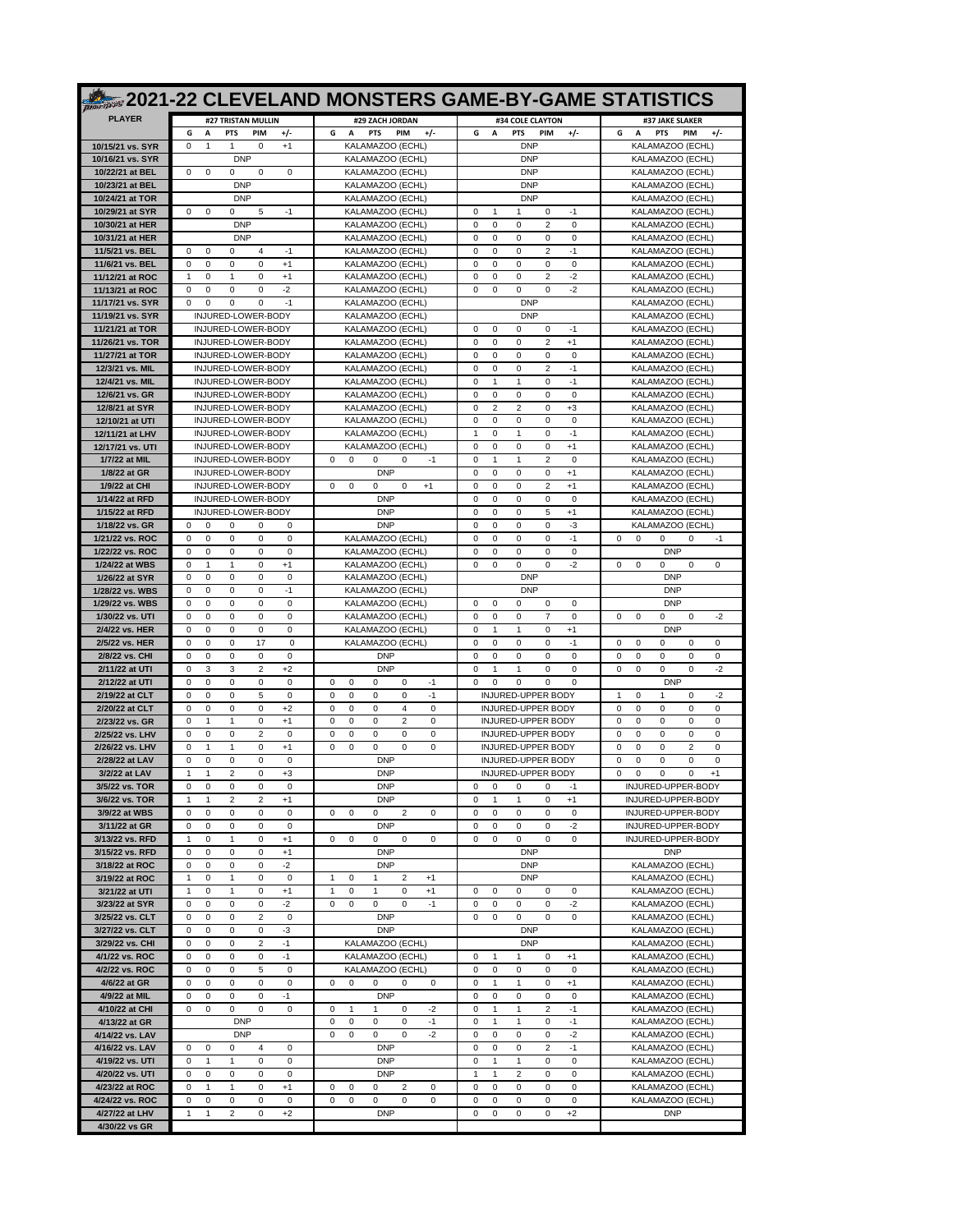|                                      | <b>2021-22 CLEVELAND MONSTERS GAME-BY-GAME STATISTICS</b>                                              |                                                                                     |                                                                                                    |                                                                                       |
|--------------------------------------|--------------------------------------------------------------------------------------------------------|-------------------------------------------------------------------------------------|----------------------------------------------------------------------------------------------------|---------------------------------------------------------------------------------------|
| <b>PLAYER</b>                        | #27 TRISTAN MULLIN                                                                                     | #29 ZACH JORDAN                                                                     | #34 COLE CLAYTON                                                                                   | #37 JAKE SLAKER                                                                       |
|                                      | G<br>А<br><b>PTS</b><br>PIM<br>$+/-$                                                                   | G<br>A<br><b>PTS</b><br>PIM<br>$+/-$                                                | G<br>А<br><b>PTS</b><br>PIM<br>$+/-$                                                               | G<br>A<br><b>PTS</b><br>PIM<br>$+/-$                                                  |
| 10/15/21 vs. SYR<br>10/16/21 vs. SYR | 0<br>$\Omega$<br>1<br>1<br>$+1$<br><b>DNP</b>                                                          | KALAMAZOO (ECHL)<br>KALAMAZOO (ECHL)                                                | <b>DNP</b><br><b>DNP</b>                                                                           | KALAMAZOO (ECHL)<br>KALAMAZOO (ECHL)                                                  |
| 10/22/21 at BEL                      | $\Omega$<br>0<br>$\Omega$<br>0<br>$\Omega$                                                             | KALAMAZOO (ECHL)                                                                    | <b>DNP</b>                                                                                         | KALAMAZOO (ECHL)                                                                      |
| 10/23/21 at BEL                      | <b>DNP</b>                                                                                             | KALAMAZOO (ECHL)                                                                    | <b>DNP</b>                                                                                         | KALAMAZOO (ECHL)                                                                      |
| 10/24/21 at TOR                      | <b>DNP</b>                                                                                             | KALAMAZOO (ECHL)                                                                    | <b>DNP</b>                                                                                         | KALAMAZOO (ECHL)                                                                      |
| 10/29/21 at SYR<br>10/30/21 at HER   | $\Omega$<br>0<br>$\Omega$<br>5<br>$-1$<br><b>DNP</b>                                                   | KALAMAZOO (ECHL)<br>KALAMAZOO (ECHL)                                                | -1<br>$^{\circ}$<br>-1<br>-1<br>0<br>$\mathbf 0$<br>2<br>0<br>$\Omega$<br>$\Omega$                 | KALAMAZOO (ECHL)<br>KALAMAZOO (ECHL)                                                  |
| 10/31/21 at HER                      | <b>DNP</b>                                                                                             | KALAMAZOO (ECHL)                                                                    | 0<br>0<br>0<br>0<br>0                                                                              | KALAMAZOO (ECHL)                                                                      |
| 11/5/21 vs. BEL                      | $\mathbf 0$<br>0<br>$\overline{4}$<br>$-1$<br>$\Omega$                                                 | KALAMAZOO (ECHL)                                                                    | 0<br>$\mathbf 0$<br>0<br>2<br>$-1$                                                                 | KALAMAZOO (ECHL)                                                                      |
| 11/6/21 vs. BEL<br>11/12/21 at ROC   | 0<br>$\Omega$<br>$\Omega$<br>$\Omega$<br>$+1$<br>0<br>$\Omega$<br>1<br>$+1$<br>-1                      | KALAMAZOO (ECHL)<br>KALAMAZOO (ECHL)                                                | 0<br>$\Omega$<br>$\Omega$<br>$\Omega$<br>0<br>2<br>-2<br>$\Omega$<br>0<br>$\Omega$                 | KALAMAZOO (ECHL)<br>KALAMAZOO (ECHL)                                                  |
| 11/13/21 at ROC                      | 0<br>$-2$<br>$\Omega$<br>$\Omega$<br>$\Omega$                                                          | KALAMAZOO (ECHL)                                                                    | 0<br>0<br>0<br>0<br>-2                                                                             | KALAMAZOO (ECHL)                                                                      |
| 11/17/21 vs. SYR                     | $-1$<br>$\Omega$<br>$\Omega$<br>$\Omega$<br>0                                                          | KALAMAZOO (ECHL)                                                                    | <b>DNP</b>                                                                                         | KALAMAZOO (ECHL)                                                                      |
| 11/19/21 vs. SYR                     | INJURED-LOWER-BODY                                                                                     | KALAMAZOO (ECHL)                                                                    | <b>DNP</b>                                                                                         | KALAMAZOO (ECHL)                                                                      |
| 11/21/21 at TOR<br>11/26/21 vs. TOR  | INJURED-LOWER-BODY<br>INJURED-LOWER-BODY                                                               | KALAMAZOO (ECHL)<br>KALAMAZOO (ECHL)                                                | $\Omega$<br>$\Omega$<br>$\Omega$<br>$\Omega$<br>$-1$<br>2<br>$\Omega$<br>$\Omega$<br>0<br>$+1$     | KALAMAZOO (ECHL)<br>KALAMAZOO (ECHL)                                                  |
| 11/27/21 at TOR                      | INJURED-LOWER-BODY                                                                                     | KALAMAZOO (ECHL)                                                                    | 0<br>0<br>0<br>0<br>$\Omega$                                                                       | KALAMAZOO (ECHL)                                                                      |
| 12/3/21 vs. MIL                      | INJURED-LOWER-BODY                                                                                     | KALAMAZOO (ECHL)                                                                    | $\overline{2}$<br>$-1$<br>0<br>0<br>0                                                              | KALAMAZOO (ECHL)                                                                      |
| 12/4/21 vs. MIL<br>12/6/21 vs. GR    | INJURED-LOWER-BODY<br>INJURED-LOWER-BODY                                                               | KALAMAZOO (ECHL)<br>KALAMAZOO (ECHL)                                                | 0<br>$\mathbf{1}$<br>$\mathbf{1}$<br>$\mathbf 0$<br>$-1$<br>0<br>0<br>0<br>$\Omega$<br>0           | KALAMAZOO (ECHL)<br>KALAMAZOO (ECHL)                                                  |
| 12/8/21 at SYR                       | INJURED-LOWER-BODY                                                                                     | KALAMAZOO (ECHL)                                                                    | 0<br>$\overline{2}$<br>$\overline{2}$<br>0<br>$+3$                                                 | KALAMAZOO (ECHL)                                                                      |
| 12/10/21 at UTI                      | INJURED-LOWER-BODY                                                                                     | KALAMAZOO (ECHL)                                                                    | 0<br>0<br>0<br>0<br>$\Omega$                                                                       | KALAMAZOO (ECHL)                                                                      |
| 12/11/21 at LHV                      | INJURED-LOWER-BODY                                                                                     | KALAMAZOO (ECHL)                                                                    | $-1$<br>1<br>0<br>1<br>0                                                                           | KALAMAZOO (ECHL)                                                                      |
| 12/17/21 vs. UTI<br>1/7/22 at MIL    | INJURED-LOWER-BODY<br>INJURED-LOWER-BODY                                                               | KALAMAZOO (ECHL)<br>$\Omega$<br>$\Omega$<br>$\Omega$<br>$\Omega$<br>$-1$            | 0<br>$\mathbf 0$<br>0<br>$\mathbf 0$<br>$+1$<br>2<br>0<br>$\Omega$<br>$\mathbf{1}$<br>$\mathbf{1}$ | KALAMAZOO (ECHL)<br>KALAMAZOO (ECHL)                                                  |
| 1/8/22 at GR                         | INJURED-LOWER-BODY                                                                                     | <b>DNP</b>                                                                          | 0<br>0<br>$\Omega$<br>$\Omega$<br>$+1$                                                             | KALAMAZOO (ECHL)                                                                      |
| 1/9/22 at CHI                        | INJURED-LOWER-BODY                                                                                     | 0<br>0<br>0<br>$\Omega$<br>$+1$                                                     | 0<br>$\mathbf 0$<br>0<br>2<br>$+1$                                                                 | KALAMAZOO (ECHL)                                                                      |
| 1/14/22 at RFD                       | INJURED-LOWER-BODY<br>INJURED-LOWER-BODY                                                               | <b>DNP</b><br><b>DNP</b>                                                            | 0<br>0<br>0<br>0<br>0<br>0<br>$\mathbf 0$<br>0<br>5<br>$+1$                                        | KALAMAZOO (ECHL)<br>KALAMAZOO (ECHL)                                                  |
| 1/15/22 at RFD<br>1/18/22 vs. GR     | $\mathbf 0$<br>$\Omega$<br>$\Omega$<br>$\Omega$<br>$\Omega$                                            | <b>DNP</b>                                                                          | $\Omega$<br>$\Omega$<br>$\Omega$<br>0<br>-3                                                        | KALAMAZOO (ECHL)                                                                      |
| 1/21/22 vs. ROC                      | 0<br>0<br>$\Omega$<br>0<br>$\Omega$                                                                    | KALAMAZOO (ECHL)                                                                    | 0<br>$-1$<br>$\Omega$<br>$\Omega$<br>0                                                             | 0<br>$\Omega$<br>$\Omega$<br>$\Omega$<br>$-1$                                         |
| 1/22/22 vs. ROC                      | 0<br>0<br>0<br>$\mathbf 0$<br>$\Omega$                                                                 | KALAMAZOO (ECHL)                                                                    | 0<br>0<br>0<br>$\mathbf 0$<br>0                                                                    | <b>DNP</b>                                                                            |
| 1/24/22 at WBS<br>1/26/22 at SYR     | $\Omega$<br>1<br>1<br>0<br>$+1$<br>0<br>$\mathbf 0$<br>$\mathbf 0$<br>0<br>$\mathbf 0$                 | KALAMAZOO (ECHL)<br>KALAMAZOO (ECHL)                                                | $-2$<br>0<br>0<br>0<br>$\Omega$<br><b>DNP</b>                                                      | 0<br>0<br>$\Omega$<br>0<br>$\Omega$<br><b>DNP</b>                                     |
| 1/28/22 vs. WBS                      | $\mathbf 0$<br>$\Omega$<br>$\Omega$<br>$\Omega$<br>$-1$                                                | KALAMAZOO (ECHL)                                                                    | <b>DNP</b>                                                                                         | <b>DNP</b>                                                                            |
| 1/29/22 vs. WBS                      | 0<br>0<br>$\Omega$<br>$\Omega$<br>$\Omega$                                                             | KALAMAZOO (ECHL)                                                                    | 0<br>0<br>0<br>$\Omega$<br>0                                                                       | <b>DNP</b>                                                                            |
| 1/30/22 vs. UTI<br>2/4/22 vs. HER    | 0<br>$\mathbf 0$<br>$\Omega$<br>0<br>0<br>0<br>0<br>0<br>0<br>$\Omega$                                 | KALAMAZOO (ECHL)<br>KALAMAZOO (ECHL)                                                | 0<br>$\mathbf 0$<br>0<br>$\overline{7}$<br>0<br>0<br>1<br>1<br>0<br>$+1$                           | 0<br>$\mathbf 0$<br>0<br>$\mathbf 0$<br>$-2$<br><b>DNP</b>                            |
| 2/5/22 vs. HER                       | 0<br>$\mathbf 0$<br>$\mathbf 0$<br>17<br>$\mathbf 0$                                                   | KALAMAZOO (ECHL)                                                                    | 0<br>0<br>0<br>$\mathbf 0$<br>$-1$                                                                 | 0<br>$\mathbf 0$<br>0<br>0<br>$\mathbf 0$                                             |
| 2/8/22 vs. CHI                       | $\mathbf 0$<br>0<br>$\Omega$<br>$\Omega$<br>$\Omega$                                                   | <b>DNP</b>                                                                          | 0<br>0<br>$\Omega$<br>$\Omega$<br>$\Omega$                                                         | 0<br>$\mathbf 0$<br>$\mathbf 0$<br>$\Omega$<br>$\Omega$                               |
| 2/11/22 at UTI                       | $\overline{2}$<br>$+2$<br>$\Omega$<br>3<br>3                                                           | <b>DNP</b>                                                                          | 0<br>0<br>$\Omega$<br>1<br>1                                                                       | 0<br>0<br>0<br>-2<br>$\Omega$                                                         |
| 2/12/22 at UTI<br>2/19/22 at CLT     | 0<br>$\Omega$<br>0<br>$\mathbf 0$<br>$\Omega$<br>$\Omega$<br>0<br>0<br>5<br>0                          | 0<br>$\mathbf 0$<br>$\Omega$<br>$\Omega$<br>$-1$<br>$-1$<br>$\Omega$<br>0<br>0<br>0 | 0<br>$\Omega$<br>$\Omega$<br>$\Omega$<br>$\Omega$<br>INJURED-UPPER BODY                            | <b>DNP</b><br>1<br>0<br>1<br>0<br>-2                                                  |
| 2/20/22 at CLT                       | 0<br>$\mathbf 0$<br>$\mathbf 0$<br>0<br>$+2$                                                           | $\mathbf 0$<br>0<br>0<br>4<br>$\mathbf 0$                                           | <b>INJURED-UPPER BODY</b>                                                                          | $\mathbf 0$<br>$\mathbf 0$<br>0<br>0<br>$^{\circ}$                                    |
| 2/23/22 vs. GR                       | 0<br>$\Omega$<br>$\mathbf{1}$<br>$\mathbf{1}$<br>$+1$                                                  | $\mathbf 0$<br>$\Omega$<br>$\Omega$<br>2<br>$\Omega$                                | INJURED-UPPER BODY                                                                                 | 0<br>$\Omega$<br>$\Omega$<br>$\Omega$<br>$\Omega$                                     |
| 2/25/22 vs. LHV<br>2/26/22 vs. LHV   | 2<br>$\Omega$<br>0<br>$\Omega$<br>$\Omega$<br>$\mathbf 0$<br>$\mathbf{1}$<br>$\mathbf{1}$<br>0<br>$+1$ | 0<br>0<br>0<br>$\Omega$<br>0<br>0<br>0<br>0<br>0<br>$\mathbf 0$                     | INJURED-UPPER BODY<br><b>INJURED-UPPER BODY</b>                                                    | 0<br>0<br>0<br>$\Omega$<br>0<br>$\mathbf 0$<br>0<br>0<br>$\overline{2}$<br>$^{\circ}$ |
| 2/28/22 at LAV                       | 0<br>0<br>$\Omega$<br>0<br>0                                                                           | <b>DNP</b>                                                                          | INJURED-UPPER BODY                                                                                 | 0<br>0<br>0<br>$\Omega$<br>$\Omega$                                                   |
| 3/2/22 at LAV                        | $\overline{2}$<br>$\mathbf{1}$<br>$\mathbf{1}$<br>0<br>$+3$                                            | <b>DNP</b>                                                                          | INJURED-UPPER BODY                                                                                 | $\mathbf 0$<br>0<br>0<br>0<br>$+1$                                                    |
| 3/5/22 vs. TOR<br>3/6/22 vs. TOR     | 0<br>0<br>$\Omega$<br>0<br>0<br>$\overline{c}$<br>$\overline{\mathbf{c}}$<br>1<br>1<br>$+1$            | <b>DNP</b><br><b>DNP</b>                                                            | 0<br>0<br>0<br>0<br>$-1$<br>0<br>$\mathbf{1}$<br>0<br>$+1$<br>1                                    | INJURED-UPPER-BODY<br>INJURED-UPPER-BODY                                              |
| 3/9/22 at WBS                        | $\mathsf 0$<br>0<br>0<br>0<br>0                                                                        | 0<br>0<br>0<br>2<br>0                                                               | 0<br>0<br>0<br>0<br>0                                                                              | INJURED-UPPER-BODY                                                                    |
| 3/11/22 at GR                        | 0<br>0<br>0<br>0<br>0                                                                                  | <b>DNP</b>                                                                          | -2<br>0<br>0<br>0<br>0                                                                             | INJURED-UPPER-BODY                                                                    |
| 3/13/22 vs. RFD<br>3/15/22 vs. RFD   | $\mathbf{1}$<br>$+1$<br>$\mathbf{1}$<br>0<br>0<br>0<br>0<br>0<br>0<br>$+1$                             | $\mathsf 0$<br>0<br>0<br>0<br>0<br><b>DNP</b>                                       | $\mathbf 0$<br>0<br>0<br>0<br>0<br><b>DNP</b>                                                      | INJURED-UPPER-BODY<br><b>DNP</b>                                                      |
| 3/18/22 at ROC                       | 0<br>-2<br>0<br>0<br>0                                                                                 | <b>DNP</b>                                                                          | <b>DNP</b>                                                                                         | KALAMAZOO (ECHL)                                                                      |
| 3/19/22 at ROC                       | $\mathsf 0$<br>$\mathbf{1}$<br>0<br>$\mathbf{1}$<br>0                                                  | $\mathbf{1}$<br>0<br>$+1$<br>$\mathbf{1}$<br>2                                      | <b>DNP</b>                                                                                         | KALAMAZOO (ECHL)                                                                      |
| 3/21/22 at UTI                       | $\mathbf{1}$<br>0<br>$\mathbf{1}$<br>0<br>$+1$                                                         | $\mathbf{1}$<br>0<br>1<br>0<br>$+1$                                                 | 0<br>0<br>0<br>0<br>0                                                                              | KALAMAZOO (ECHL)                                                                      |
| 3/23/22 at SYR<br>3/25/22 vs. CLT    | $-2$<br>0<br>0<br>$^{\circ}$<br>0<br>0<br>0<br>0<br>$\overline{2}$<br>$\mathbf 0$                      | $\mathbf 0$<br>0<br>$-1$<br>0<br>0<br><b>DNP</b>                                    | 0<br>$-2$<br>0<br>0<br>0<br>0<br>0<br>0<br>0<br>0                                                  | KALAMAZOO (ECHL)<br>KALAMAZOO (ECHL)                                                  |
| 3/27/22 vs. CLT                      | 0<br>0<br>0<br>-3<br>0                                                                                 | <b>DNP</b>                                                                          | <b>DNP</b>                                                                                         | KALAMAZOO (ECHL)                                                                      |
| 3/29/22 vs. CHI                      | 0<br>0<br>0<br>$\overline{2}$<br>$-1$                                                                  | KALAMAZOO (ECHL)                                                                    | <b>DNP</b>                                                                                         | KALAMAZOO (ECHL)                                                                      |
| 4/1/22 vs. ROC<br>4/2/22 vs. ROC     | $-1$<br>0<br>0<br>0<br>0<br>5<br>$\mathbf 0$<br>0<br>0<br>$^{\circ}$                                   | KALAMAZOO (ECHL)<br>KALAMAZOO (ECHL)                                                | $\mathbf{1}$<br>$+1$<br>0<br>1<br>0<br>$\mathbf 0$<br>0<br>$\mathbf 0$<br>0<br>0                   | KALAMAZOO (ECHL)<br>KALAMAZOO (ECHL)                                                  |
| 4/6/22 at GR                         | 0<br>0<br>0<br>0<br>0                                                                                  | 0<br>$\mathbf 0$<br>0<br>0<br>0                                                     | 0<br>$\overline{1}$<br>$\mathbf{1}$<br>0<br>$+1$                                                   | KALAMAZOO (ECHL)                                                                      |
| 4/9/22 at MIL                        | $-1$<br>0<br>0<br>0<br>0                                                                               | <b>DNP</b>                                                                          | 0<br>0<br>0<br>0<br>0                                                                              | KALAMAZOO (ECHL)                                                                      |
| 4/10/22 at CHI                       | $\mathsf 0$<br>0<br>0<br>0<br>$\mathbf 0$<br><b>DNP</b>                                                | 0<br>$\mathbf{1}$<br>0<br>-2<br>$\mathbf{1}$<br>$-1$                                | $\overline{c}$<br>0<br>$\mathbf{1}$<br>$\mathbf{1}$<br>$-1$<br>$-1$                                | KALAMAZOO (ECHL)                                                                      |
| 4/13/22 at GR<br>4/14/22 vs. LAV     | <b>DNP</b>                                                                                             | 0<br>0<br>0<br>0<br>0<br>$-2$<br>0<br>0<br>0                                        | 0<br>$\mathbf{1}$<br>1<br>0<br>0<br>$-2$<br>0<br>$\mathbf 0$<br>0                                  | KALAMAZOO (ECHL)<br>KALAMAZOO (ECHL)                                                  |
| 4/16/22 vs. LAV                      | 0<br>0<br>4<br>0<br>0                                                                                  | <b>DNP</b>                                                                          | 0<br>0<br>0<br>2<br>$-1$                                                                           | KALAMAZOO (ECHL)                                                                      |
| 4/19/22 vs. UTI                      | 0<br>$\mathbf{1}$<br>0<br>0<br>1                                                                       | <b>DNP</b>                                                                          | 0<br>$\mathsf 0$<br>0<br>1<br>1                                                                    | KALAMAZOO (ECHL)                                                                      |
| 4/20/22 vs. UTI<br>4/23/22 at ROC    | 0<br>0<br>0<br>0<br>0<br>0<br>$\mathbf{1}$<br>$\mathbf{1}$<br>0<br>$+1$                                | <b>DNP</b><br>0<br>2<br>0<br>0<br>0                                                 | $\mathbf{1}$<br>$\mathbf{1}$<br>2<br>0<br>0<br>0<br>0<br>0<br>0<br>0                               | KALAMAZOO (ECHL)<br>KALAMAZOO (ECHL)                                                  |
| 4/24/22 vs. ROC                      | $\mathsf 0$<br>$\bf 0$<br>$\pmb{0}$<br>0<br>0                                                          | 0<br>0<br>0<br>0<br>0                                                               | $\mathbf 0$<br>0<br>$\mathbf 0$<br>0<br>0                                                          | KALAMAZOO (ECHL)                                                                      |
| 4/27/22 at LHV                       | $\mathbf{1}$<br>$\mathbf{1}$<br>$\overline{2}$<br>0<br>$+2$                                            | <b>DNP</b>                                                                          | 0<br>0<br>0<br>0<br>$+2$                                                                           | <b>DNP</b>                                                                            |
| 4/30/22 vs GR                        |                                                                                                        |                                                                                     |                                                                                                    |                                                                                       |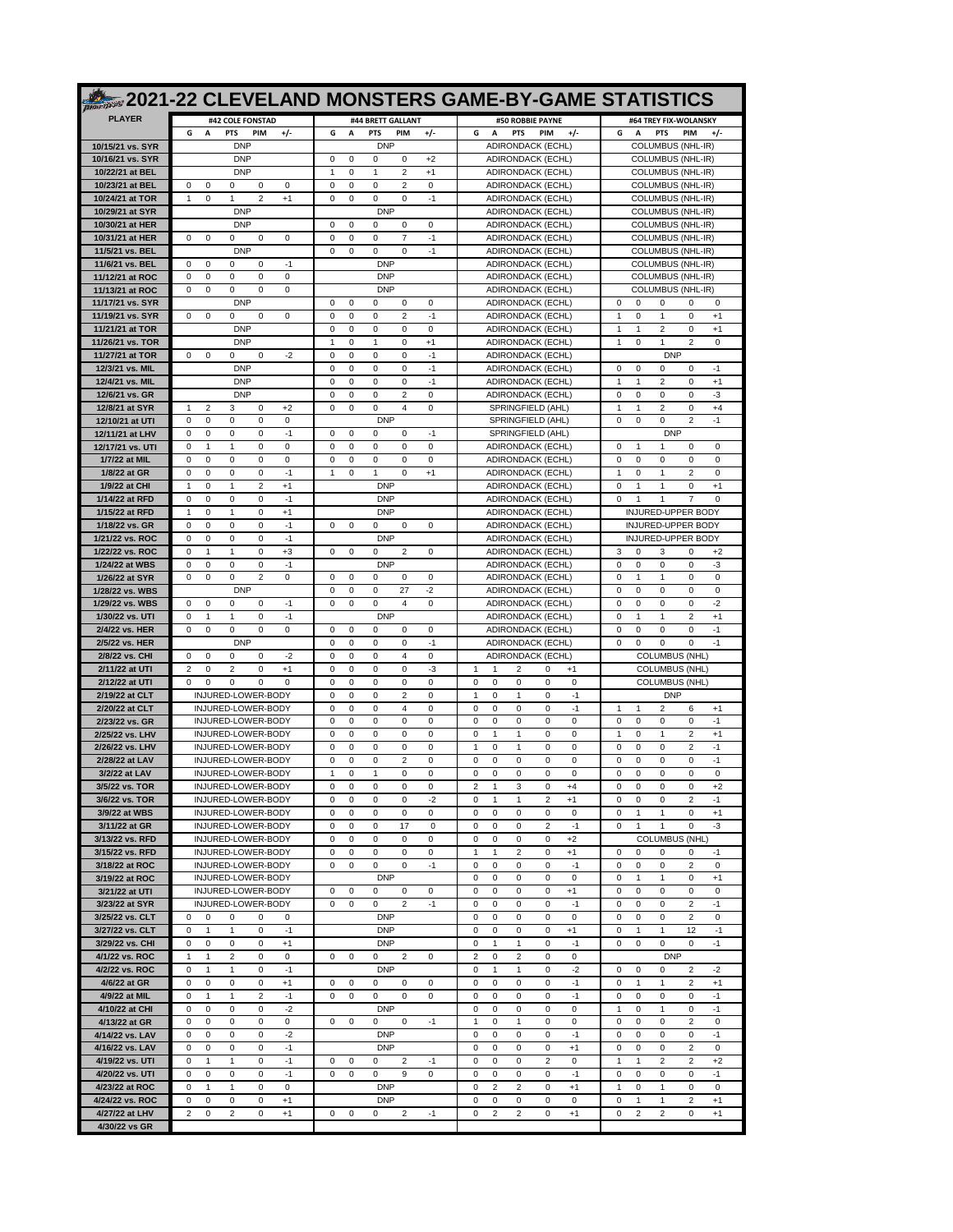|                                      |                                                                                                                  |                                                                                     | <b>2021-22 CLEVELAND MONSTERS GAME-BY-GAME STATISTICS</b>                                                             |                                                                                                   |
|--------------------------------------|------------------------------------------------------------------------------------------------------------------|-------------------------------------------------------------------------------------|-----------------------------------------------------------------------------------------------------------------------|---------------------------------------------------------------------------------------------------|
| <b>PLAYER</b>                        | #42 COLE FONSTAD                                                                                                 | #44 BRETT GALLANT                                                                   | #50 ROBBIE PAYNE                                                                                                      | #64 TREY FIX-WOLANSKY                                                                             |
|                                      | G<br>A<br>$+/-$<br><b>PTS</b><br>PIM                                                                             | A<br>$+/-$<br>G<br><b>PTS</b><br><b>PIM</b>                                         | $+/-$<br>G<br>A<br><b>PTS</b><br>PIM                                                                                  | $+/-$<br><b>PTS</b><br>PIM<br>G<br>A                                                              |
| 10/15/21 vs. SYR<br>10/16/21 vs. SYR | <b>DNP</b><br><b>DNP</b>                                                                                         | <b>DNP</b><br>$\mathbf 0$<br>$\mathbf 0$<br>0<br>$+2$<br>$\Omega$                   | ADIRONDACK (ECHL)<br><b>ADIRONDACK (ECHL)</b>                                                                         | <b>COLUMBUS (NHL-IR)</b><br><b>COLUMBUS (NHL-IR)</b>                                              |
| 10/22/21 at BEL                      | <b>DNP</b>                                                                                                       | 0<br>2<br>$+1$<br>1<br>$\mathbf{1}$                                                 | ADIRONDACK (ECHL)                                                                                                     | COLUMBUS (NHL-IR)                                                                                 |
| 10/23/21 at BEL                      | 0<br>0<br>$\mathbf 0$<br>0<br>0                                                                                  | $\overline{2}$<br>$\mathbf 0$<br>0<br>0<br>0                                        | ADIRONDACK (ECHL)                                                                                                     | COLUMBUS (NHL-IR)                                                                                 |
| 10/24/21 at TOR                      | $\overline{2}$<br>$+1$<br>$\mathbf{1}$<br>0<br>$\mathbf{1}$                                                      | 0<br>0<br>0<br>$\mathbf 0$<br>$-1$                                                  | <b>ADIRONDACK (ECHL)</b>                                                                                              | COLUMBUS (NHL-IR)                                                                                 |
| 10/29/21 at SYR<br>10/30/21 at HER   | <b>DNP</b><br><b>DNP</b>                                                                                         | <b>DNP</b><br>$\mathbf 0$<br>$\mathbf 0$<br>0<br>0<br>$\Omega$                      | <b>ADIRONDACK (ECHL)</b><br><b>ADIRONDACK (ECHL)</b>                                                                  | COLUMBUS (NHL-IR)<br>COLUMBUS (NHL-IR)                                                            |
| 10/31/21 at HER                      | 0<br>0<br>$\Omega$<br>0<br>$\Omega$                                                                              | 0<br>$\overline{7}$<br>$\Omega$<br>$\Omega$<br>-1                                   | ADIRONDACK (ECHL)                                                                                                     | <b>COLUMBUS (NHL-IR)</b>                                                                          |
| 11/5/21 vs. BEL                      | <b>DNP</b>                                                                                                       | 0<br>0<br>$\Omega$<br>0<br>$-1$                                                     | ADIRONDACK (ECHL)                                                                                                     | <b>COLUMBUS (NHL-IR)</b>                                                                          |
| 11/6/21 vs. BEL<br>11/12/21 at ROC   | 0<br>$-1$<br>$\Omega$<br>$\Omega$<br>$\Omega$<br>$\Omega$<br>0<br>$\Omega$<br>$\Omega$<br>0                      | <b>DNP</b><br><b>DNP</b>                                                            | <b>ADIRONDACK (ECHL)</b><br>ADIRONDACK (ECHL)                                                                         | COLUMBUS (NHL-IR)<br>COLUMBUS (NHL-IR)                                                            |
| 11/13/21 at ROC                      | 0<br>$\mathbf 0$<br>0<br>0<br>0                                                                                  | <b>DNP</b>                                                                          | <b>ADIRONDACK (ECHL)</b>                                                                                              | COLUMBUS (NHL-IR)                                                                                 |
| 11/17/21 vs. SYR                     | <b>DNP</b>                                                                                                       | $\Omega$<br>$\Omega$<br>$\Omega$<br>$\Omega$<br>$\Omega$                            | ADIRONDACK (ECHL)                                                                                                     | $\Omega$<br>$\Omega$<br>0<br>$\Omega$<br>$\Omega$                                                 |
| 11/19/21 vs. SYR                     | 0<br>$\mathbf 0$<br>0<br>$\Omega$<br>$\Omega$                                                                    | $\overline{2}$<br>$\mathbf 0$<br>0<br>0<br>$-1$                                     | <b>ADIRONDACK (ECHL)</b>                                                                                              | $\mathbf{1}$<br>$\mathbf{1}$<br>0<br>0<br>$+1$                                                    |
| 11/21/21 at TOR<br>11/26/21 vs. TOR  | <b>DNP</b><br><b>DNP</b>                                                                                         | $\mathbf 0$<br>0<br>0<br>$\mathbf 0$<br>0<br>1<br>0<br>1<br>0<br>$+1$               | ADIRONDACK (ECHL)<br>ADIRONDACK (ECHL)                                                                                | $\mathbf{1}$<br>$\mathbf{1}$<br>$\overline{2}$<br>0<br>$+1$<br>$\overline{2}$<br>1<br>0<br>1<br>0 |
| 11/27/21 at TOR                      | 0<br>$\mathbf 0$<br>0<br>$-2$<br>0                                                                               | $\mathbf 0$<br>$\mathbf 0$<br>0<br>$-1$<br>$\Omega$                                 | <b>ADIRONDACK (ECHL)</b>                                                                                              | <b>DNP</b>                                                                                        |
| 12/3/21 vs. MIL                      | <b>DNP</b>                                                                                                       | $\mathbf 0$<br>0<br>$-1$<br>$\Omega$<br>0                                           | ADIRONDACK (ECHL)                                                                                                     | 0<br>$\Omega$<br>$\Omega$<br>$\Omega$<br>-1                                                       |
| 12/4/21 vs. MIL<br>12/6/21 vs. GR    | <b>DNP</b><br><b>DNP</b>                                                                                         | $\mathbf 0$<br>0<br>0<br>0<br>$-1$<br>$\mathbf 0$<br>0<br>0<br>2<br>0               | <b>ADIRONDACK (ECHL)</b><br><b>ADIRONDACK (ECHL)</b>                                                                  | $\mathbf{1}$<br>1<br>2<br>0<br>$+1$<br>0<br>0<br>0<br>0<br>-3                                     |
| 12/8/21 at SYR                       | $\mathbf{1}$<br>2<br>3<br>0<br>$+2$                                                                              | 4<br>0<br>$\Omega$<br>0<br>0                                                        | SPRINGFIELD (AHL)                                                                                                     | 2<br>0<br>$+4$<br>1<br>1                                                                          |
| 12/10/21 at UTI                      | 0<br>$\mathbf 0$<br>0<br>0<br>$\mathbf 0$                                                                        | <b>DNP</b>                                                                          | SPRINGFIELD (AHL)                                                                                                     | 0<br>0<br>0<br>2<br>$-1$                                                                          |
| 12/11/21 at LHV                      | 0<br>0<br>$\Omega$<br>$\Omega$<br>$-1$                                                                           | $\Omega$<br>$\Omega$<br>$\Omega$<br>0<br>-1                                         | SPRINGFIELD (AHL)                                                                                                     | <b>DNP</b>                                                                                        |
| 12/17/21 vs. UTI<br>1/7/22 at MIL    | 0<br>$\mathbf{1}$<br>$\mathbf{1}$<br>0<br>$\mathbf 0$<br>0<br>$\mathbf 0$<br>$\mathbf 0$<br>0<br>$\mathbf 0$     | $\mathbf 0$<br>0<br>0<br>0<br>$\Omega$<br>0<br>0<br>0<br>$\mathbf 0$<br>0           | ADIRONDACK (ECHL)<br>ADIRONDACK (ECHL)                                                                                | $\mathbf 0$<br>$\mathbf{1}$<br>1<br>0<br>$^{\circ}$<br>0<br>0<br>0<br>0<br>$\mathbf 0$            |
| 1/8/22 at GR                         | 0<br>$\Omega$<br>0<br>0<br>$-1$                                                                                  | $\mathbf{1}$<br>1<br>0<br>0<br>$+1$                                                 | <b>ADIRONDACK (ECHL)</b>                                                                                              | 2<br>1<br>0<br>1<br>0                                                                             |
| 1/9/22 at CHI                        | 0<br>2<br>$+1$<br>-1<br>-1                                                                                       | <b>DNP</b>                                                                          | <b>ADIRONDACK (ECHL)</b>                                                                                              | 0<br>0<br>1<br>1<br>$+1$                                                                          |
| 1/14/22 at RFD                       | 0<br>$\mathbf 0$<br>0<br>0<br>$-1$                                                                               | <b>DNP</b>                                                                          | ADIRONDACK (ECHL)                                                                                                     | 0<br>$\overline{7}$<br>1<br>1<br>$\Omega$                                                         |
| 1/15/22 at RFD<br>1/18/22 vs. GR     | $\mathbf 0$<br>$\mathbf{1}$<br>0<br>$+1$<br>1<br>0<br>0<br>0<br>0<br>$-1$                                        | <b>DNP</b><br>0<br>0<br>0<br>0<br>$\Omega$                                          | ADIRONDACK (ECHL)<br><b>ADIRONDACK (ECHL)</b>                                                                         | INJURED-UPPER BODY<br><b>INJURED-UPPER BODY</b>                                                   |
| 1/21/22 vs. ROC                      | $\Omega$<br>0<br>0<br>0<br>$-1$                                                                                  | <b>DNP</b>                                                                          | ADIRONDACK (ECHL)                                                                                                     | INJURED-UPPER BODY                                                                                |
| 1/22/22 vs. ROC                      | 0<br>$+3$<br>$\Omega$<br>-1<br>-1                                                                                | $\mathbf 0$<br>0<br>$\Omega$<br>2<br>$\Omega$                                       | <b>ADIRONDACK (ECHL)</b>                                                                                              | 3<br>$\Omega$<br>$\Omega$<br>$+2$<br>3                                                            |
| 1/24/22 at WBS<br>1/26/22 at SYR     | 0<br>0<br>$\Omega$<br>$\Omega$<br>$-1$<br>$\mathbf 0$<br>$\mathbf 0$<br>2<br>$\mathbf 0$<br>$\Omega$             | <b>DNP</b><br>$\mathbf 0$<br>0<br>0<br>0<br>$\Omega$                                | ADIRONDACK (ECHL)<br>ADIRONDACK (ECHL)                                                                                | 0<br>0<br>$\mathbf 0$<br>$\Omega$<br>-3<br>$\mathbf 0$<br>1<br>1<br>0<br>$\mathbf 0$              |
| 1/28/22 vs. WBS                      | <b>DNP</b>                                                                                                       | $\mathbf 0$<br>0<br>0<br>27<br>$-2$                                                 | ADIRONDACK (ECHL)                                                                                                     | 0<br>0<br>0<br>$\mathbf 0$<br>$\Omega$                                                            |
| 1/29/22 vs. WBS                      | $\Omega$<br>0<br>$\Omega$<br>0<br>$-1$                                                                           | 4<br>0<br>$\Omega$<br>0<br>0                                                        | ADIRONDACK (ECHL)                                                                                                     | 0<br>0<br>-2<br>$\Omega$<br>0                                                                     |
| 1/30/22 vs. UTI<br>2/4/22 vs. HER    | 0<br>$\Omega$<br>$-1$<br>-1<br>1<br>0<br>$\mathbf 0$<br>0<br>0<br>0                                              | <b>DNP</b><br>$\Omega$<br>$\Omega$<br>0<br>0<br>$\Omega$                            | <b>ADIRONDACK (ECHL)</b><br>ADIRONDACK (ECHL)                                                                         | 0<br>2<br>1<br>1<br>$+1$<br>0<br>0<br>0<br>$\Omega$<br>-1                                         |
| 2/5/22 vs. HER                       | <b>DNP</b>                                                                                                       | $\mathbf 0$<br>$\mathbf 0$<br>0<br>$-1$<br>$\Omega$                                 | ADIRONDACK (ECHL)                                                                                                     | $-1$<br>0<br>0<br>$\Omega$<br>$\Omega$                                                            |
| 2/8/22 vs. CHI                       | 0<br>$-2$<br>$\Omega$<br>$\Omega$<br>$\Omega$                                                                    | $\mathbf 0$<br>0<br>0<br>$\overline{4}$<br>0                                        | ADIRONDACK (ECHL)                                                                                                     | <b>COLUMBUS (NHL)</b>                                                                             |
| 2/11/22 at UTI                       | 2<br>$\Omega$<br>2<br>0<br>$+1$                                                                                  | $\Omega$<br>0<br>0<br>0<br>-3                                                       | 1<br>1<br>2<br>0<br>$+1$                                                                                              | <b>COLUMBUS (NHL)</b>                                                                             |
| 2/12/22 at UTI<br>2/19/22 at CLT     | $\mathbf 0$<br>$\Omega$<br>O<br>O<br>$\Omega$<br>INJURED-LOWER-BODY                                              | $\mathbf 0$<br>$\mathbf 0$<br>0<br>0<br>$\Omega$<br>$\mathbf 0$<br>0<br>0<br>2<br>0 | 0<br>0<br>0<br>0<br>0<br>0<br>$\mathbf{1}$<br>$^{\circ}$<br>$-1$<br>1                                                 | <b>COLUMBUS (NHL)</b><br><b>DNP</b>                                                               |
| 2/20/22 at CLT                       | INJURED-LOWER-BODY                                                                                               | 0<br>$\mathbf 0$<br>0<br>0<br>4                                                     | 0<br>0<br>0<br>0<br>$-1$                                                                                              | $\mathbf{1}$<br>1<br>2<br>6<br>$+1$                                                               |
| 2/23/22 vs. GR                       | INJURED-LOWER-BODY                                                                                               | $\mathbf 0$<br>0<br>0<br>0<br>0                                                     | $\mathbf 0$<br>0<br>$\mathbf 0$<br>$^{\circ}$<br>0                                                                    | 0<br>0<br>0<br>0<br>$-1$                                                                          |
| 2/25/22 vs. LHV<br>2/26/22 vs. LHV   | INJURED-LOWER-BODY<br>INJURED-LOWER-BODY                                                                         | 0<br>$\Omega$<br>0<br>0<br>0<br>$\mathbf 0$<br>$\mathbf 0$<br>0<br>0<br>$\Omega$    | 0<br>0<br>0<br>1<br>1<br>0<br>0<br>0<br>1<br>1                                                                        | 2<br>1<br>0<br>1<br>$+1$<br>0<br>0<br>2<br>$-1$<br>0                                              |
| 2/28/22 at LAV                       | INJURED-LOWER-BODY                                                                                               | 0<br>0<br>0<br>2<br>0                                                               | 0<br>0<br>0<br>$^{\circ}$<br>0                                                                                        | 0<br>0<br>0<br>0<br>$-1$                                                                          |
| 3/2/22 at LAV                        | INJURED-LOWER-BODY                                                                                               | 1<br>0<br>$\mathbf{1}$<br>0<br>0                                                    | $\mathbf 0$<br>0<br>0<br>$\mathbf 0$<br>0                                                                             | 0<br>$\mathbf 0$<br>0<br>0<br>0                                                                   |
| 3/5/22 vs. TOR<br>3/6/22 vs. TOR     | INJURED-LOWER-BODY<br>INJURED-LOWER-BODY                                                                         | 0<br>0<br>0<br>0<br>0<br>$-2$<br>0<br>0<br>0<br>0                                   | $\overline{2}$<br>3<br>$^{\circ}$<br>$+4$<br>-1<br>$\mathbf{1}$<br>$\mathbf{1}$<br>$\overline{2}$<br>$+1$<br>0        | 0<br>0<br>0<br>0<br>$+2$<br>$\overline{2}$<br>$-1$<br>0<br>0<br>0                                 |
| 3/9/22 at WBS                        | INJURED-LOWER-BODY                                                                                               | $\mathbf 0$<br>0<br>0<br>0<br>0                                                     | $\mathsf 0$<br>0<br>0<br>0<br>0                                                                                       | $\mathsf 0$<br>0<br>1<br>$\mathbf{1}$<br>$+1$                                                     |
| 3/11/22 at GR                        | INJURED-LOWER-BODY                                                                                               | 0<br>0<br>0<br>17<br>0                                                              | $\overline{2}$<br>0<br>0<br>0<br>$-1$                                                                                 | 0<br>$\mathbf{1}$<br>$\mathbf{1}$<br>0<br>-3                                                      |
| 3/13/22 vs. RFD<br>3/15/22 vs. RFD   | INJURED-LOWER-BODY<br>INJURED-LOWER-BODY                                                                         | 0<br>0<br>0<br>0<br>0<br>0<br>0<br>0<br>0<br>0                                      | $\mathsf 0$<br>$\mathsf 0$<br>$\mathbf 0$<br>$+2$<br>0<br>$+1$<br>$\mathbf{1}$<br>$\mathbf{1}$<br>$\overline{2}$<br>0 | <b>COLUMBUS (NHL)</b><br>0<br>0<br>0<br>0<br>$-1$                                                 |
| 3/18/22 at ROC                       | INJURED-LOWER-BODY                                                                                               | $-1$<br>0<br>0<br>0<br>0                                                            | $\mathsf 0$<br>$-1$<br>0<br>0<br>0                                                                                    | $\overline{2}$<br>0<br>0<br>0<br>0                                                                |
| 3/19/22 at ROC                       | INJURED-LOWER-BODY                                                                                               | <b>DNP</b>                                                                          | $\mathbf 0$<br>$\mathsf 0$<br>0<br>0<br>0                                                                             | $+1$<br>0<br>1<br>0<br>1                                                                          |
| 3/21/22 at UTI                       | INJURED-LOWER-BODY                                                                                               | 0<br>0<br>0<br>0<br>0                                                               | 0<br>0<br>0<br>0<br>$+1$<br>$-1$                                                                                      | 0<br>0<br>0<br>0<br>0                                                                             |
| 3/23/22 at SYR<br>3/25/22 vs. CLT    | INJURED-LOWER-BODY<br>0<br>0<br>0<br>0<br>$\mathbf 0$                                                            | 2<br>$-1$<br>0<br>0<br>0<br><b>DNP</b>                                              | $\mathbf 0$<br>0<br>0<br>0<br>$\mathbf 0$<br>$\mathbf 0$<br>0<br>0<br>$\mathbf 0$                                     | $\overline{2}$<br>$-1$<br>0<br>0<br>0<br>$\overline{2}$<br>0<br>0<br>0<br>0                       |
| 3/27/22 vs. CLT                      | 0<br>$\mathbf{1}$<br>$\mathbf{1}$<br>0<br>$-1$                                                                   | <b>DNP</b>                                                                          | $+1$<br>0<br>0<br>0<br>0                                                                                              | 12<br>$-1$<br>0<br>$\mathbf{1}$<br>$\mathbf{1}$                                                   |
| 3/29/22 vs. CHI                      | 0<br>0<br>0<br>0<br>$+1$                                                                                         | <b>DNP</b>                                                                          | $\mathsf 0$<br>$-1$<br>0<br>$\mathbf{1}$<br>1                                                                         | $\mathsf 0$<br>$-1$<br>0<br>0<br>0                                                                |
| 4/1/22 vs. ROC<br>4/2/22 vs. ROC     | $\mathbf{1}$<br>$\mathbf{1}$<br>$\overline{2}$<br>0<br>0<br>$\bf 0$<br>$-1$<br>0<br>$\mathbf{1}$<br>$\mathbf{1}$ | 0<br>0<br>0<br>2<br>0<br><b>DNP</b>                                                 | 2<br>0<br>2<br>0<br>0<br>$\mathsf 0$<br>$-2$<br>0<br>$\mathbf{1}$<br>$\mathbf{1}$                                     | <b>DNP</b><br>$\overline{2}$<br>$-2$<br>0<br>0<br>0                                               |
| 4/6/22 at GR                         | $+1$<br>0<br>0<br>0<br>0                                                                                         | 0<br>0<br>0<br>0<br>0                                                               | $\mathbf 0$<br>$-1$<br>0<br>0<br>$\mathbf 0$                                                                          | $\overline{2}$<br>$+1$<br>0<br>1<br>$\mathbf{1}$                                                  |
| 4/9/22 at MIL                        | $\overline{2}$<br>$\mathbf{1}$<br>$\mathbf{1}$<br>$-1$<br>0                                                      | 0<br>0<br>0<br>0<br>0                                                               | $\mathsf 0$<br>$-1$<br>0<br>0<br>0                                                                                    | 0<br>$-1$<br>0<br>0<br>0                                                                          |
| 4/10/22 at CHI                       | $-2$<br>0<br>0<br>0<br>0                                                                                         | <b>DNP</b>                                                                          | $\mathsf 0$<br>$\mathsf 0$<br>0<br>0<br>0                                                                             | $\mathsf 0$<br>$-1$<br>$\mathbf{1}$<br>0<br>$\mathbf{1}$                                          |
| 4/13/22 at GR<br>4/14/22 vs. LAV     | 0<br>0<br>0<br>0<br>0<br>$\bf 0$<br>$-2$<br>0<br>0<br>$\mathbf 0$                                                | 0<br>0<br>0<br>0<br>$-1$<br><b>DNP</b>                                              | $\mathbf{1}$<br>0<br>$\mathbf{1}$<br>0<br>0<br>$\mathbf 0$<br>$-1$<br>0<br>0<br>0                                     | 0<br>0<br>0<br>$\overline{2}$<br>0<br>$\mathsf 0$<br>$-1$<br>0<br>0<br>0                          |
| 4/16/22 vs. LAV                      | $\bf 0$<br>$-1$<br>0<br>0<br>0                                                                                   | <b>DNP</b>                                                                          | $\mathbf 0$<br>$+1$<br>0<br>$\mathbf 0$<br>$\mathbf 0$                                                                | $\overline{2}$<br>$\mathsf 0$<br>0<br>0<br>0                                                      |
| 4/19/22 vs. UTI                      | $-1$<br>$\mathbf{1}$<br>0<br>0<br>$\mathbf{1}$                                                                   | $-1$<br>0<br>0<br>0<br>2                                                            | $\overline{2}$<br>0<br>0<br>0<br>0                                                                                    | $\overline{2}$<br>$+2$<br>$\mathbf{1}$<br>$\mathbf{1}$<br>2                                       |
| 4/20/22 vs. UTI<br>4/23/22 at ROC    | $\mathsf 0$<br>0<br>0<br>0<br>$-1$<br>0<br>$\mathbf{1}$<br>$\mathbf{1}$<br>0<br>0                                | 0<br>0<br>0<br>0<br>9<br><b>DNP</b>                                                 | $\mathbf 0$<br>$-1$<br>0<br>0<br>0<br>0<br>2<br>2<br>0<br>$+1$                                                        | $\mathsf 0$<br>$-1$<br>0<br>0<br>0<br>$\mathbf{1}$<br>0<br>$\mathbf{1}$<br>0<br>0                 |
| 4/24/22 vs. ROC                      | 0<br>$+1$<br>0<br>0<br>0                                                                                         | <b>DNP</b>                                                                          | $\mathbf 0$<br>0<br>0<br>0<br>0                                                                                       | $\overline{2}$<br>0<br>$\mathbf{1}$<br>$\mathbf{1}$<br>$+1$                                       |
| 4/27/22 at LHV                       | $\overline{2}$<br>0<br>$+1$<br>0<br>$\overline{2}$                                                               | 0<br>0<br>0<br>2<br>$-1$                                                            | $\overline{2}$<br>$\mathsf 0$<br>$+1$<br>0<br>2                                                                       | $\overline{c}$<br>$\overline{\mathbf{c}}$<br>0<br>$+1$<br>0                                       |
| 4/30/22 vs GR                        |                                                                                                                  |                                                                                     |                                                                                                                       |                                                                                                   |